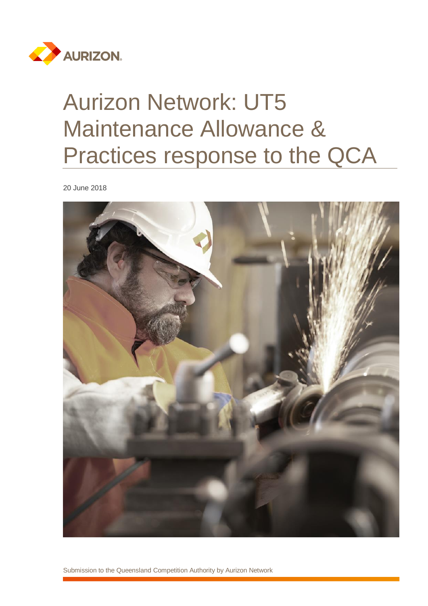

# Aurizon Network: UT5 Maintenance Allowance & Practices response to the QCA

20 June 2018

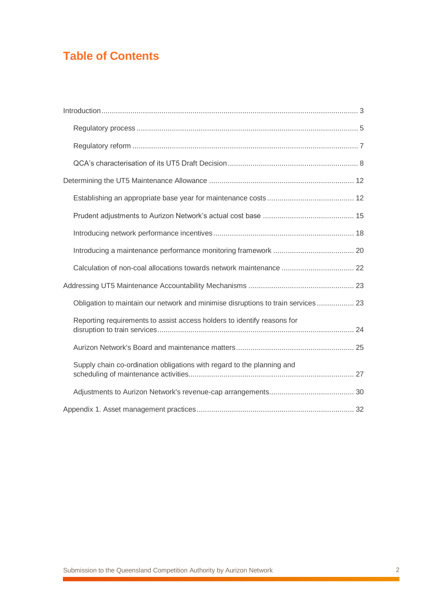# **Table of Contents**

| Calculation of non-coal allocations towards network maintenance  22               |  |
|-----------------------------------------------------------------------------------|--|
|                                                                                   |  |
| Obligation to maintain our network and minimise disruptions to train services  23 |  |
| Reporting requirements to assist access holders to identify reasons for           |  |
|                                                                                   |  |
| Supply chain co-ordination obligations with regard to the planning and            |  |
|                                                                                   |  |
|                                                                                   |  |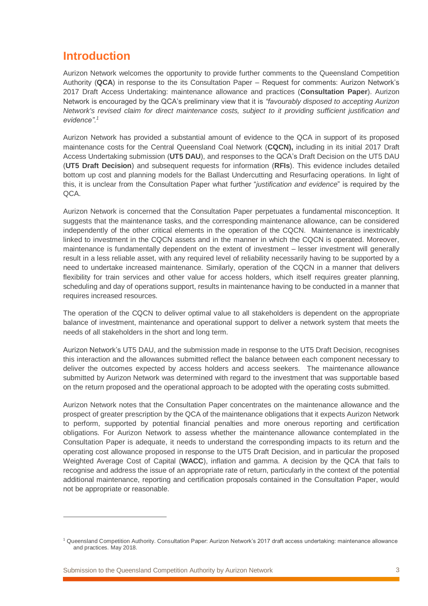## <span id="page-2-0"></span>**Introduction**

Aurizon Network welcomes the opportunity to provide further comments to the Queensland Competition Authority (**QCA**) in response to the its Consultation Paper – Request for comments: Aurizon Network's 2017 Draft Access Undertaking: maintenance allowance and practices (**Consultation Paper**). Aurizon Network is encouraged by the QCA's preliminary view that it is *"favourably disposed to accepting Aurizon Network's revised claim for direct maintenance costs, subject to it providing sufficient justification and evidence".<sup>1</sup>*

Aurizon Network has provided a substantial amount of evidence to the QCA in support of its proposed maintenance costs for the Central Queensland Coal Network (**CQCN),** including in its initial 2017 Draft Access Undertaking submission (**UT5 DAU**), and responses to the QCA's Draft Decision on the UT5 DAU (**UT5 Draft Decision**) and subsequent requests for information (**RFIs**). This evidence includes detailed bottom up cost and planning models for the Ballast Undercutting and Resurfacing operations. In light of this, it is unclear from the Consultation Paper what further "*justification and evidence*" is required by the QCA.

Aurizon Network is concerned that the Consultation Paper perpetuates a fundamental misconception. It suggests that the maintenance tasks, and the corresponding maintenance allowance, can be considered independently of the other critical elements in the operation of the CQCN. Maintenance is inextricably linked to investment in the CQCN assets and in the manner in which the CQCN is operated. Moreover, maintenance is fundamentally dependent on the extent of investment – lesser investment will generally result in a less reliable asset, with any required level of reliability necessarily having to be supported by a need to undertake increased maintenance. Similarly, operation of the CQCN in a manner that delivers flexibility for train services and other value for access holders, which itself requires greater planning, scheduling and day of operations support, results in maintenance having to be conducted in a manner that requires increased resources.

The operation of the CQCN to deliver optimal value to all stakeholders is dependent on the appropriate balance of investment, maintenance and operational support to deliver a network system that meets the needs of all stakeholders in the short and long term.

Aurizon Network's UT5 DAU, and the submission made in response to the UT5 Draft Decision, recognises this interaction and the allowances submitted reflect the balance between each component necessary to deliver the outcomes expected by access holders and access seekers. The maintenance allowance submitted by Aurizon Network was determined with regard to the investment that was supportable based on the return proposed and the operational approach to be adopted with the operating costs submitted.

Aurizon Network notes that the Consultation Paper concentrates on the maintenance allowance and the prospect of greater prescription by the QCA of the maintenance obligations that it expects Aurizon Network to perform, supported by potential financial penalties and more onerous reporting and certification obligations. For Aurizon Network to assess whether the maintenance allowance contemplated in the Consultation Paper is adequate, it needs to understand the corresponding impacts to its return and the operating cost allowance proposed in response to the UT5 Draft Decision, and in particular the proposed Weighted Average Cost of Capital (**WACC**), inflation and gamma. A decision by the QCA that fails to recognise and address the issue of an appropriate rate of return, particularly in the context of the potential additional maintenance, reporting and certification proposals contained in the Consultation Paper, would not be appropriate or reasonable.

Submission to the Queensland Competition Authority by Aurizon Network 3

<sup>1</sup> Queensland Competition Authority. Consultation Paper: Aurizon Network's 2017 draft access undertaking: maintenance allowance and practices. May 2018.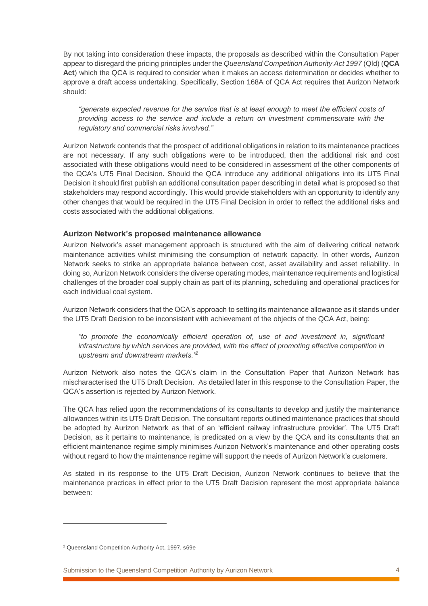By not taking into consideration these impacts, the proposals as described within the Consultation Paper appear to disregard the pricing principles under the *Queensland Competition Authority Act 1997* (Qld) (**QCA Act**) which the QCA is required to consider when it makes an access determination or decides whether to approve a draft access undertaking. Specifically, Section 168A of QCA Act requires that Aurizon Network should:

*"generate expected revenue for the service that is at least enough to meet the efficient costs of providing access to the service and include a return on investment commensurate with the regulatory and commercial risks involved."* 

Aurizon Network contends that the prospect of additional obligations in relation to its maintenance practices are not necessary. If any such obligations were to be introduced, then the additional risk and cost associated with these obligations would need to be considered in assessment of the other components of the QCA's UT5 Final Decision. Should the QCA introduce any additional obligations into its UT5 Final Decision it should first publish an additional consultation paper describing in detail what is proposed so that stakeholders may respond accordingly. This would provide stakeholders with an opportunity to identify any other changes that would be required in the UT5 Final Decision in order to reflect the additional risks and costs associated with the additional obligations.

### **Aurizon Network's proposed maintenance allowance**

Aurizon Network's asset management approach is structured with the aim of delivering critical network maintenance activities whilst minimising the consumption of network capacity. In other words, Aurizon Network seeks to strike an appropriate balance between cost, asset availability and asset reliability. In doing so, Aurizon Network considers the diverse operating modes, maintenance requirements and logistical challenges of the broader coal supply chain as part of its planning, scheduling and operational practices for each individual coal system.

Aurizon Network considers that the QCA's approach to setting its maintenance allowance as it stands under the UT5 Draft Decision to be inconsistent with achievement of the objects of the QCA Act, being:

*"to promote the economically efficient operation of, use of and investment in, significant infrastructure by which services are provided, with the effect of promoting effective competition in upstream and downstream markets."<sup>2</sup>*

Aurizon Network also notes the QCA's claim in the Consultation Paper that Aurizon Network has mischaracterised the UT5 Draft Decision. As detailed later in this response to the Consultation Paper, the QCA's assertion is rejected by Aurizon Network.

The QCA has relied upon the recommendations of its consultants to develop and justify the maintenance allowances within its UT5 Draft Decision. The consultant reports outlined maintenance practices that should be adopted by Aurizon Network as that of an 'efficient railway infrastructure provider'. The UT5 Draft Decision, as it pertains to maintenance, is predicated on a view by the QCA and its consultants that an efficient maintenance regime simply minimises Aurizon Network's maintenance and other operating costs without regard to how the maintenance regime will support the needs of Aurizon Network's customers.

As stated in its response to the UT5 Draft Decision, Aurizon Network continues to believe that the maintenance practices in effect prior to the UT5 Draft Decision represent the most appropriate balance between:

<sup>2</sup> Queensland Competition Authority Act, 1997, s69e

Submission to the Queensland Competition Authority by Aurizon Network 4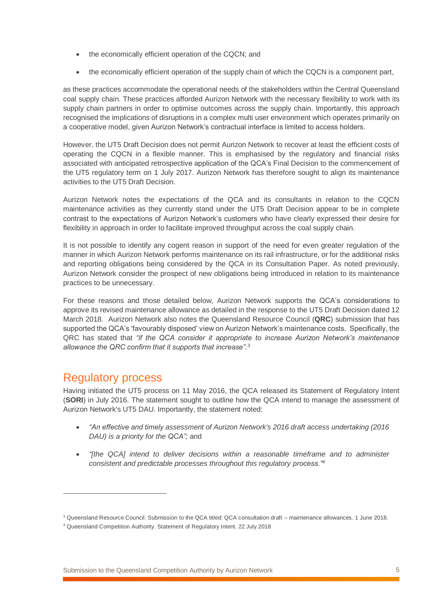- the economically efficient operation of the CQCN; and
- the economically efficient operation of the supply chain of which the CQCN is a component part,

as these practices accommodate the operational needs of the stakeholders within the Central Queensland coal supply chain. These practices afforded Aurizon Network with the necessary flexibility to work with its supply chain partners in order to optimise outcomes across the supply chain. Importantly, this approach recognised the implications of disruptions in a complex multi user environment which operates primarily on a cooperative model, given Aurizon Network's contractual interface is limited to access holders.

However, the UT5 Draft Decision does not permit Aurizon Network to recover at least the efficient costs of operating the CQCN in a flexible manner. This is emphasised by the regulatory and financial risks associated with anticipated retrospective application of the QCA's Final Decision to the commencement of the UT5 regulatory term on 1 July 2017. Aurizon Network has therefore sought to align its maintenance activities to the UT5 Draft Decision.

Aurizon Network notes the expectations of the QCA and its consultants in relation to the CQCN maintenance activities as they currently stand under the UT5 Draft Decision appear to be in complete contrast to the expectations of Aurizon Network's customers who have clearly expressed their desire for flexibility in approach in order to facilitate improved throughput across the coal supply chain.

It is not possible to identify any cogent reason in support of the need for even greater regulation of the manner in which Aurizon Network performs maintenance on its rail infrastructure, or for the additional risks and reporting obligations being considered by the QCA in its Consultation Paper. As noted previously, Aurizon Network consider the prospect of new obligations being introduced in relation to its maintenance practices to be unnecessary.

For these reasons and those detailed below, Aurizon Network supports the QCA's considerations to approve its revised maintenance allowance as detailed in the response to the UT5 Draft Decision dated 12 March 2018. Aurizon Network also notes the Queensland Resource Council (**QRC**) submission that has supported the QCA's 'favourably disposed' view on Aurizon Network's maintenance costs. Specifically, the QRC has stated that *"if the QCA consider it appropriate to increase Aurizon Network's maintenance allowance the QRC confirm that it supports that increase".<sup>3</sup>*

### <span id="page-4-0"></span>Regulatory process

 $\overline{a}$ 

Having initiated the UT5 process on 11 May 2016, the QCA released its Statement of Regulatory Intent (**SORI**) in July 2016. The statement sought to outline how the QCA intend to manage the assessment of Aurizon Network's UT5 DAU. Importantly, the statement noted:

- *"An effective and timely assessment of Aurizon Network's 2016 draft access undertaking (2016 DAU) is a priority for the QCA";* and
- *"[the QCA] intend to deliver decisions within a reasonable timeframe and to administer consistent and predictable processes throughout this regulatory process."<sup>4</sup>*

<sup>3</sup> Queensland Resource Council. Submission to the QCA titled: QCA consultation draft – maintenance allowances. 1 June 2018.

<sup>4</sup> Queensland Competition Authority. Statement of Regulatory Intent. 22 July 2018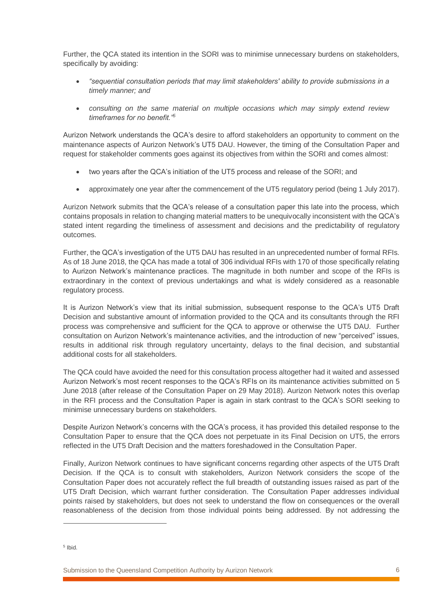Further, the QCA stated its intention in the SORI was to minimise unnecessary burdens on stakeholders, specifically by avoiding:

- *"sequential consultation periods that may limit stakeholders' ability to provide submissions in a timely manner; and*
- *consulting on the same material on multiple occasions which may simply extend review timeframes for no benefit."<sup>5</sup>*

Aurizon Network understands the QCA's desire to afford stakeholders an opportunity to comment on the maintenance aspects of Aurizon Network's UT5 DAU. However, the timing of the Consultation Paper and request for stakeholder comments goes against its objectives from within the SORI and comes almost:

- two years after the QCA's initiation of the UT5 process and release of the SORI; and
- approximately one year after the commencement of the UT5 regulatory period (being 1 July 2017).

Aurizon Network submits that the QCA's release of a consultation paper this late into the process, which contains proposals in relation to changing material matters to be unequivocally inconsistent with the QCA's stated intent regarding the timeliness of assessment and decisions and the predictability of regulatory outcomes.

Further, the QCA's investigation of the UT5 DAU has resulted in an unprecedented number of formal RFIs. As of 18 June 2018, the QCA has made a total of 306 individual RFIs with 170 of those specifically relating to Aurizon Network's maintenance practices. The magnitude in both number and scope of the RFIs is extraordinary in the context of previous undertakings and what is widely considered as a reasonable regulatory process.

It is Aurizon Network's view that its initial submission, subsequent response to the QCA's UT5 Draft Decision and substantive amount of information provided to the QCA and its consultants through the RFI process was comprehensive and sufficient for the QCA to approve or otherwise the UT5 DAU. Further consultation on Aurizon Network's maintenance activities, and the introduction of new "perceived" issues, results in additional risk through regulatory uncertainty, delays to the final decision, and substantial additional costs for all stakeholders.

The QCA could have avoided the need for this consultation process altogether had it waited and assessed Aurizon Network's most recent responses to the QCA's RFIs on its maintenance activities submitted on 5 June 2018 (after release of the Consultation Paper on 29 May 2018). Aurizon Network notes this overlap in the RFI process and the Consultation Paper is again in stark contrast to the QCA's SORI seeking to minimise unnecessary burdens on stakeholders.

Despite Aurizon Network's concerns with the QCA's process, it has provided this detailed response to the Consultation Paper to ensure that the QCA does not perpetuate in its Final Decision on UT5, the errors reflected in the UT5 Draft Decision and the matters foreshadowed in the Consultation Paper.

Finally, Aurizon Network continues to have significant concerns regarding other aspects of the UT5 Draft Decision. If the QCA is to consult with stakeholders, Aurizon Network considers the scope of the Consultation Paper does not accurately reflect the full breadth of outstanding issues raised as part of the UT5 Draft Decision, which warrant further consideration. The Consultation Paper addresses individual points raised by stakeholders, but does not seek to understand the flow on consequences or the overall reasonableness of the decision from those individual points being addressed. By not addressing the

 $\overline{a}$ 

<sup>5</sup> Ibid.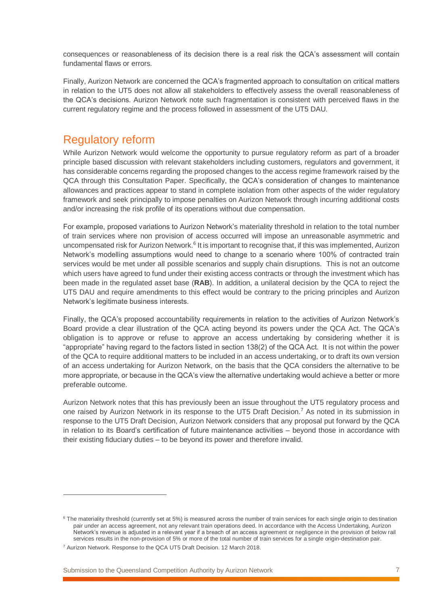consequences or reasonableness of its decision there is a real risk the QCA's assessment will contain fundamental flaws or errors.

Finally, Aurizon Network are concerned the QCA's fragmented approach to consultation on critical matters in relation to the UT5 does not allow all stakeholders to effectively assess the overall reasonableness of the QCA's decisions. Aurizon Network note such fragmentation is consistent with perceived flaws in the current regulatory regime and the process followed in assessment of the UT5 DAU.

### <span id="page-6-0"></span>Regulatory reform

While Aurizon Network would welcome the opportunity to pursue regulatory reform as part of a broader principle based discussion with relevant stakeholders including customers, regulators and government, it has considerable concerns regarding the proposed changes to the access regime framework raised by the QCA through this Consultation Paper. Specifically, the QCA's consideration of changes to maintenance allowances and practices appear to stand in complete isolation from other aspects of the wider regulatory framework and seek principally to impose penalties on Aurizon Network through incurring additional costs and/or increasing the risk profile of its operations without due compensation.

For example, proposed variations to Aurizon Network's materiality threshold in relation to the total number of train services where non provision of access occurred will impose an unreasonable asymmetric and uncompensated risk for Aurizon Network.<sup>6</sup> It is important to recognise that, if this was implemented, Aurizon Network's modelling assumptions would need to change to a scenario where 100% of contracted train services would be met under all possible scenarios and supply chain disruptions. This is not an outcome which users have agreed to fund under their existing access contracts or through the investment which has been made in the regulated asset base (**RAB**). In addition, a unilateral decision by the QCA to reject the UT5 DAU and require amendments to this effect would be contrary to the pricing principles and Aurizon Network's legitimate business interests.

Finally, the QCA's proposed accountability requirements in relation to the activities of Aurizon Network's Board provide a clear illustration of the QCA acting beyond its powers under the QCA Act. The QCA's obligation is to approve or refuse to approve an access undertaking by considering whether it is "appropriate" having regard to the factors listed in section 138(2) of the QCA Act. It is not within the power of the QCA to require additional matters to be included in an access undertaking, or to draft its own version of an access undertaking for Aurizon Network, on the basis that the QCA considers the alternative to be more appropriate, or because in the QCA's view the alternative undertaking would achieve a better or more preferable outcome.

Aurizon Network notes that this has previously been an issue throughout the UT5 regulatory process and one raised by Aurizon Network in its response to the UT5 Draft Decision.<sup>7</sup> As noted in its submission in response to the UT5 Draft Decision, Aurizon Network considers that any proposal put forward by the QCA in relation to its Board's certification of future maintenance activities – beyond those in accordance with their existing fiduciary duties – to be beyond its power and therefore invalid.

 $\overline{a}$ 

<sup>&</sup>lt;sup>6</sup> The materiality threshold (currently set at 5%) is measured across the number of train services for each single origin to destination pair under an access agreement, not any relevant train operations deed. In accordance with the Access Undertaking, Aurizon Network's revenue is adjusted in a relevant year if a breach of an access agreement or negligence in the provision of below rail services results in the non-provision of 5% or more of the total number of train services for a single origin-destination pair.

<sup>7</sup> Aurizon Network. Response to the QCA UT5 Draft Decision. 12 March 2018.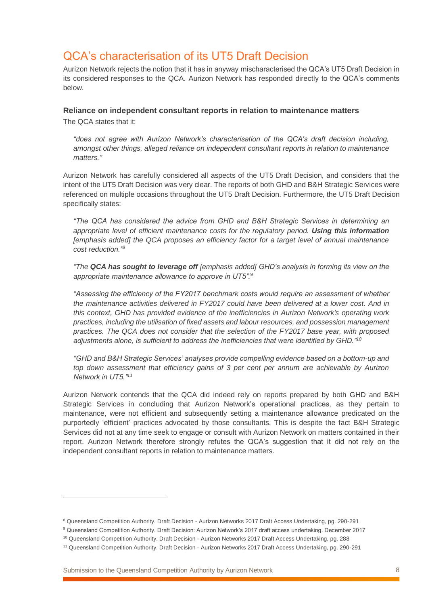# <span id="page-7-0"></span>QCA's characterisation of its UT5 Draft Decision

Aurizon Network rejects the notion that it has in anyway mischaracterised the QCA's UT5 Draft Decision in its considered responses to the QCA. Aurizon Network has responded directly to the QCA's comments below.

### **Reliance on independent consultant reports in relation to maintenance matters**

The QCA states that it:

 $\overline{a}$ 

*"does not agree with Aurizon Network's characterisation of the QCA's draft decision including, amongst other things, alleged reliance on independent consultant reports in relation to maintenance matters."*

Aurizon Network has carefully considered all aspects of the UT5 Draft Decision, and considers that the intent of the UT5 Draft Decision was very clear. The reports of both GHD and B&H Strategic Services were referenced on multiple occasions throughout the UT5 Draft Decision. Furthermore, the UT5 Draft Decision specifically states:

*"The QCA has considered the advice from GHD and B&H Strategic Services in determining an appropriate level of efficient maintenance costs for the regulatory period. Using this information [emphasis added] the QCA proposes an efficiency factor for a target level of annual maintenance cost reduction." 8*

*"The QCA has sought to leverage off [emphasis added] GHD's analysis in forming its view on the appropriate maintenance allowance to approve in UT5".*<sup>9</sup>

*"Assessing the efficiency of the FY2017 benchmark costs would require an assessment of whether the maintenance activities delivered in FY2017 could have been delivered at a lower cost. And in this context, GHD has provided evidence of the inefficiencies in Aurizon Network's operating work practices, including the utilisation of fixed assets and labour resources, and possession management practices. The QCA does not consider that the selection of the FY2017 base year, with proposed adjustments alone, is sufficient to address the inefficiencies that were identified by GHD."<sup>10</sup>*

*"GHD and B&H Strategic Services' analyses provide compelling evidence based on a bottom-up and top down assessment that efficiency gains of 3 per cent per annum are achievable by Aurizon Network in UT5."<sup>11</sup>*

Aurizon Network contends that the QCA did indeed rely on reports prepared by both GHD and B&H Strategic Services in concluding that Aurizon Network's operational practices, as they pertain to maintenance, were not efficient and subsequently setting a maintenance allowance predicated on the purportedly 'efficient' practices advocated by those consultants. This is despite the fact B&H Strategic Services did not at any time seek to engage or consult with Aurizon Network on matters contained in their report. Aurizon Network therefore strongly refutes the QCA's suggestion that it did not rely on the independent consultant reports in relation to maintenance matters.

<sup>8</sup> Queensland Competition Authority. Draft Decision - Aurizon Networks 2017 Draft Access Undertaking, pg. 290-291

<sup>9</sup> Queensland Competition Authority. Draft Decision: Aurizon Network's 2017 draft access undertaking. December 2017

<sup>10</sup> Queensland Competition Authority. Draft Decision - Aurizon Networks 2017 Draft Access Undertaking, pg. 288

<sup>11</sup> Queensland Competition Authority. Draft Decision - Aurizon Networks 2017 Draft Access Undertaking, pg. 290-291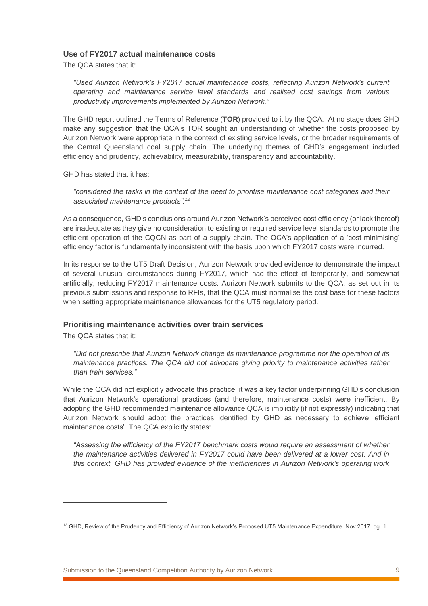### **Use of FY2017 actual maintenance costs**

The QCA states that it:

*"Used Aurizon Network's FY2017 actual maintenance costs, reflecting Aurizon Network's current operating and maintenance service level standards and realised cost savings from various productivity improvements implemented by Aurizon Network."*

The GHD report outlined the Terms of Reference (**TOR**) provided to it by the QCA. At no stage does GHD make any suggestion that the QCA's TOR sought an understanding of whether the costs proposed by Aurizon Network were appropriate in the context of existing service levels, or the broader requirements of the Central Queensland coal supply chain. The underlying themes of GHD's engagement included efficiency and prudency, achievability, measurability, transparency and accountability.

GHD has stated that it has:

*"considered the tasks in the context of the need to prioritise maintenance cost categories and their associated maintenance products".<sup>12</sup>*

As a consequence, GHD's conclusions around Aurizon Network's perceived cost efficiency (or lack thereof) are inadequate as they give no consideration to existing or required service level standards to promote the efficient operation of the CQCN as part of a supply chain. The QCA's application of a 'cost-minimising' efficiency factor is fundamentally inconsistent with the basis upon which FY2017 costs were incurred.

In its response to the UT5 Draft Decision, Aurizon Network provided evidence to demonstrate the impact of several unusual circumstances during FY2017, which had the effect of temporarily, and somewhat artificially, reducing FY2017 maintenance costs. Aurizon Network submits to the QCA, as set out in its previous submissions and response to RFIs, that the QCA must normalise the cost base for these factors when setting appropriate maintenance allowances for the UT5 regulatory period.

### **Prioritising maintenance activities over train services**

The QCA states that it:

 $\overline{a}$ 

*"Did not prescribe that Aurizon Network change its maintenance programme nor the operation of its maintenance practices. The QCA did not advocate giving priority to maintenance activities rather than train services."*

While the QCA did not explicitly advocate this practice, it was a key factor underpinning GHD's conclusion that Aurizon Network's operational practices (and therefore, maintenance costs) were inefficient. By adopting the GHD recommended maintenance allowance QCA is implicitly (if not expressly) indicating that Aurizon Network should adopt the practices identified by GHD as necessary to achieve 'efficient maintenance costs'. The QCA explicitly states:

*"Assessing the efficiency of the FY2017 benchmark costs would require an assessment of whether the maintenance activities delivered in FY2017 could have been delivered at a lower cost. And in this context, GHD has provided evidence of the inefficiencies in Aurizon Network's operating work* 

<sup>&</sup>lt;sup>12</sup> GHD, Review of the Prudency and Efficiency of Aurizon Network's Proposed UT5 Maintenance Expenditure, Nov 2017, pg. 1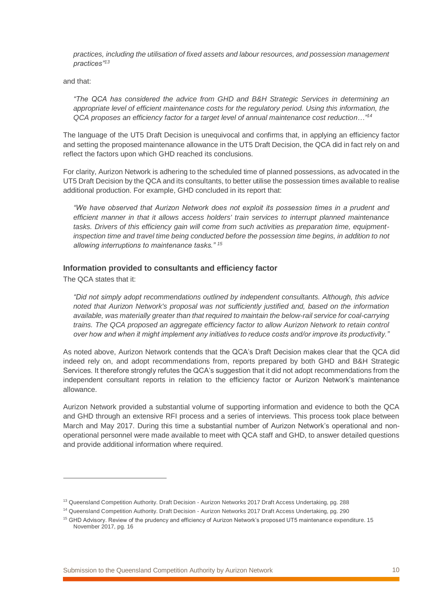*practices, including the utilisation of fixed assets and labour resources, and possession management practices"<sup>13</sup>*

and that:

*"The QCA has considered the advice from GHD and B&H Strategic Services in determining an appropriate level of efficient maintenance costs for the regulatory period. Using this information, the QCA proposes an efficiency factor for a target level of annual maintenance cost reduction…"<sup>14</sup>*

The language of the UT5 Draft Decision is unequivocal and confirms that, in applying an efficiency factor and setting the proposed maintenance allowance in the UT5 Draft Decision, the QCA did in fact rely on and reflect the factors upon which GHD reached its conclusions.

For clarity, Aurizon Network is adhering to the scheduled time of planned possessions, as advocated in the UT5 Draft Decision by the QCA and its consultants, to better utilise the possession times available to realise additional production. For example, GHD concluded in its report that:

*"We have observed that Aurizon Network does not exploit its possession times in a prudent and efficient manner in that it allows access holders' train services to interrupt planned maintenance tasks. Drivers of this efficiency gain will come from such activities as preparation time, equipmentinspection time and travel time being conducted before the possession time begins, in addition to not allowing interruptions to maintenance tasks." <sup>15</sup>*

#### **Information provided to consultants and efficiency factor**

The QCA states that it:

 $\overline{a}$ 

*"Did not simply adopt recommendations outlined by independent consultants. Although, this advice noted that Aurizon Network's proposal was not sufficiently justified and, based on the information available, was materially greater than that required to maintain the below-rail service for coal-carrying trains. The QCA proposed an aggregate efficiency factor to allow Aurizon Network to retain control over how and when it might implement any initiatives to reduce costs and/or improve its productivity."*

As noted above, Aurizon Network contends that the QCA's Draft Decision makes clear that the QCA did indeed rely on, and adopt recommendations from, reports prepared by both GHD and B&H Strategic Services. It therefore strongly refutes the QCA's suggestion that it did not adopt recommendations from the independent consultant reports in relation to the efficiency factor or Aurizon Network's maintenance allowance.

Aurizon Network provided a substantial volume of supporting information and evidence to both the QCA and GHD through an extensive RFI process and a series of interviews. This process took place between March and May 2017. During this time a substantial number of Aurizon Network's operational and nonoperational personnel were made available to meet with QCA staff and GHD, to answer detailed questions and provide additional information where required.

<sup>13</sup> Queensland Competition Authority. Draft Decision - Aurizon Networks 2017 Draft Access Undertaking, pg. 288

<sup>14</sup> Queensland Competition Authority. Draft Decision - Aurizon Networks 2017 Draft Access Undertaking, pg. 290

<sup>&</sup>lt;sup>15</sup> GHD Advisory. Review of the prudency and efficiency of Aurizon Network's proposed UT5 maintenance expenditure. 15 November 2017, pg. 16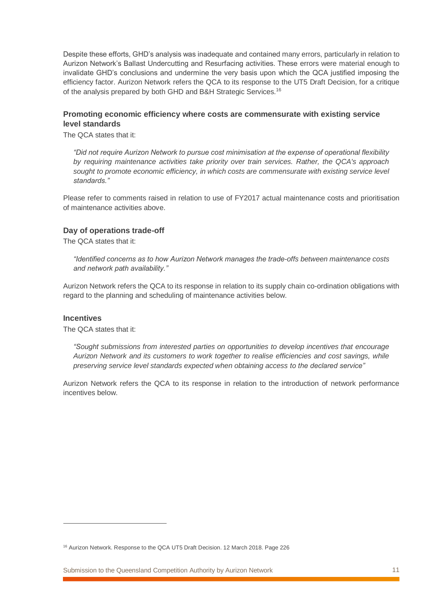Despite these efforts, GHD's analysis was inadequate and contained many errors, particularly in relation to Aurizon Network's Ballast Undercutting and Resurfacing activities. These errors were material enough to invalidate GHD's conclusions and undermine the very basis upon which the QCA justified imposing the efficiency factor. Aurizon Network refers the QCA to its response to the UT5 Draft Decision, for a critique of the analysis prepared by both GHD and B&H Strategic Services.<sup>16</sup>

### **Promoting economic efficiency where costs are commensurate with existing service level standards**

The QCA states that it:

*"Did not require Aurizon Network to pursue cost minimisation at the expense of operational flexibility by requiring maintenance activities take priority over train services. Rather, the QCA's approach sought to promote economic efficiency, in which costs are commensurate with existing service level standards."*

Please refer to comments raised in relation to use of FY2017 actual maintenance costs and prioritisation of maintenance activities above.

### **Day of operations trade-off**

The QCA states that it:

*"Identified concerns as to how Aurizon Network manages the trade-offs between maintenance costs and network path availability."*

Aurizon Network refers the QCA to its response in relation to its supply chain co-ordination obligations with regard to the planning and scheduling of maintenance activities below.

#### **Incentives**

 $\overline{a}$ 

The QCA states that it:

*"Sought submissions from interested parties on opportunities to develop incentives that encourage Aurizon Network and its customers to work together to realise efficiencies and cost savings, while preserving service level standards expected when obtaining access to the declared service"*

Aurizon Network refers the QCA to its response in relation to the introduction of network performance incentives below.

<sup>&</sup>lt;sup>16</sup> Aurizon Network. Response to the QCA UT5 Draft Decision. 12 March 2018. Page 226

Submission to the Queensland Competition Authority by Aurizon Network 11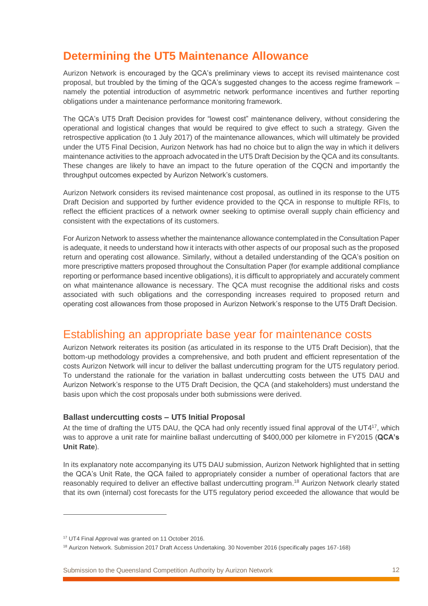# <span id="page-11-0"></span>**Determining the UT5 Maintenance Allowance**

Aurizon Network is encouraged by the QCA's preliminary views to accept its revised maintenance cost proposal, but troubled by the timing of the QCA's suggested changes to the access regime framework – namely the potential introduction of asymmetric network performance incentives and further reporting obligations under a maintenance performance monitoring framework.

The QCA's UT5 Draft Decision provides for "lowest cost" maintenance delivery, without considering the operational and logistical changes that would be required to give effect to such a strategy. Given the retrospective application (to 1 July 2017) of the maintenance allowances, which will ultimately be provided under the UT5 Final Decision, Aurizon Network has had no choice but to align the way in which it delivers maintenance activities to the approach advocated in the UT5 Draft Decision by the QCA and its consultants. These changes are likely to have an impact to the future operation of the CQCN and importantly the throughput outcomes expected by Aurizon Network's customers.

Aurizon Network considers its revised maintenance cost proposal, as outlined in its response to the UT5 Draft Decision and supported by further evidence provided to the QCA in response to multiple RFIs, to reflect the efficient practices of a network owner seeking to optimise overall supply chain efficiency and consistent with the expectations of its customers.

For Aurizon Network to assess whether the maintenance allowance contemplated in the Consultation Paper is adequate, it needs to understand how it interacts with other aspects of our proposal such as the proposed return and operating cost allowance. Similarly, without a detailed understanding of the QCA's position on more prescriptive matters proposed throughout the Consultation Paper (for example additional compliance reporting or performance based incentive obligations), it is difficult to appropriately and accurately comment on what maintenance allowance is necessary. The QCA must recognise the additional risks and costs associated with such obligations and the corresponding increases required to proposed return and operating cost allowances from those proposed in Aurizon Network's response to the UT5 Draft Decision.

### <span id="page-11-1"></span>Establishing an appropriate base year for maintenance costs

Aurizon Network reiterates its position (as articulated in its response to the UT5 Draft Decision), that the bottom-up methodology provides a comprehensive, and both prudent and efficient representation of the costs Aurizon Network will incur to deliver the ballast undercutting program for the UT5 regulatory period. To understand the rationale for the variation in ballast undercutting costs between the UT5 DAU and Aurizon Network's response to the UT5 Draft Decision, the QCA (and stakeholders) must understand the basis upon which the cost proposals under both submissions were derived.

### **Ballast undercutting costs – UT5 Initial Proposal**

At the time of drafting the UT5 DAU, the QCA had only recently issued final approval of the UT4<sup>17</sup>, which was to approve a unit rate for mainline ballast undercutting of \$400,000 per kilometre in FY2015 (**QCA's Unit Rate**).

In its explanatory note accompanying its UT5 DAU submission, Aurizon Network highlighted that in setting the QCA's Unit Rate, the QCA failed to appropriately consider a number of operational factors that are reasonably required to deliver an effective ballast undercutting program. <sup>18</sup> Aurizon Network clearly stated that its own (internal) cost forecasts for the UT5 regulatory period exceeded the allowance that would be

<sup>&</sup>lt;sup>17</sup> UT4 Final Approval was granted on 11 October 2016.

<sup>18</sup> Aurizon Network. Submission 2017 Draft Access Undertaking. 30 November 2016 (specifically pages 167-168)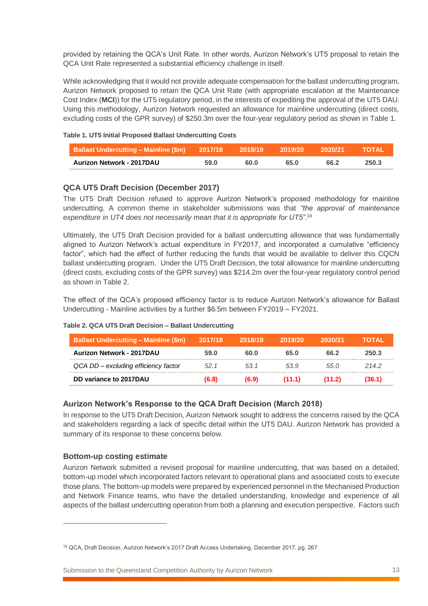provided by retaining the QCA's Unit Rate. In other words, Aurizon Network's UT5 proposal to retain the QCA Unit Rate represented a substantial efficiency challenge in itself.

While acknowledging that it would not provide adequate compensation for the ballast undercutting program, Aurizon Network proposed to retain the QCA Unit Rate (with appropriate escalation at the Maintenance Cost Index (**MCI**)) for the UT5 regulatory period, in the interests of expediting the approval of the UT5 DAU. Using this methodology, Aurizon Network requested an allowance for mainline undercutting (direct costs, excluding costs of the GPR survey) of \$250.3m over the four-year regulatory period as shown in [Table 1.](#page-12-0)

<span id="page-12-0"></span>

|  | Table 1. UT5 Initial Proposed Ballast Undercutting Costs |
|--|----------------------------------------------------------|
|  |                                                          |

| <b>Ballast Undercutting - Mainline (\$m)</b> 2017/18 |      | 2018/19 | 2019/20 | . 2020/21 | <b>STOTAL</b> |
|------------------------------------------------------|------|---------|---------|-----------|---------------|
| Aurizon Network - 2017DAU                            | 59.0 | 60.0    | 65.0    | 66.2      | 250.3         |

### **QCA UT5 Draft Decision (December 2017)**

The UT5 Draft Decision refused to approve Aurizon Network's proposed methodology for mainline undercutting. A common theme in stakeholder submissions was that *"the approval of maintenance*  expenditure in UT4 does not necessarily mean that it is appropriate for UT5".<sup>19</sup>

Ultimately, the UT5 Draft Decision provided for a ballast undercutting allowance that was fundamentally aligned to Aurizon Network's actual expenditure in FY2017, and incorporated a cumulative "efficiency factor", which had the effect of further reducing the funds that would be available to deliver this CQCN ballast undercutting program. Under the UT5 Draft Decision, the total allowance for mainline undercutting (direct costs, excluding costs of the GPR survey) was \$214.2m over the four-year regulatory control period as shown in [Table 2.](#page-12-1)

The effect of the QCA's proposed efficiency factor is to reduce Aurizon Network's allowance for Ballast Undercutting - Mainline activities by a further \$6.5m between FY2019 – FY2021.

| <b>Ballast Undercutting - Mainline (\$m)</b> | 2017/18 | 2018/19 | 2019/20 | 2020/21 | TOTAL |
|----------------------------------------------|---------|---------|---------|---------|-------|
| Aurizon Network - 2017DAU                    | 59.0    | 60.0    | 65.0    | 66.2    | 250.3 |
| QCA DD - excluding efficiency factor         | 52.1    | 53.1    | 53.9    | 55.0    | 2142  |
| DD variance to 2017DAU                       | (6.8)   | (6.9)   | (11.1)  | (11.2)  | 36.1) |

#### <span id="page-12-1"></span>**Table 2. QCA UT5 Draft Decision – Ballast Undercutting**

### **Aurizon Network's Response to the QCA Draft Decision (March 2018)**

In response to the UT5 Draft Decision, Aurizon Network sought to address the concerns raised by the QCA and stakeholders regarding a lack of specific detail within the UT5 DAU. Aurizon Network has provided a summary of its response to these concerns below.

### **Bottom-up costing estimate**

 $\overline{a}$ 

Aurizon Network submitted a revised proposal for mainline undercutting, that was based on a detailed, bottom-up model which incorporated factors relevant to operational plans and associated costs to execute those plans. The bottom-up models were prepared by experienced personnel in the Mechanised Production and Network Finance teams, who have the detailed understanding, knowledge and experience of all aspects of the ballast undercutting operation from both a planning and execution perspective. Factors such

<sup>19</sup> QCA, Draft Decision, Aurizon Network's 2017 Draft Access Undertaking, December 2017, pg. 267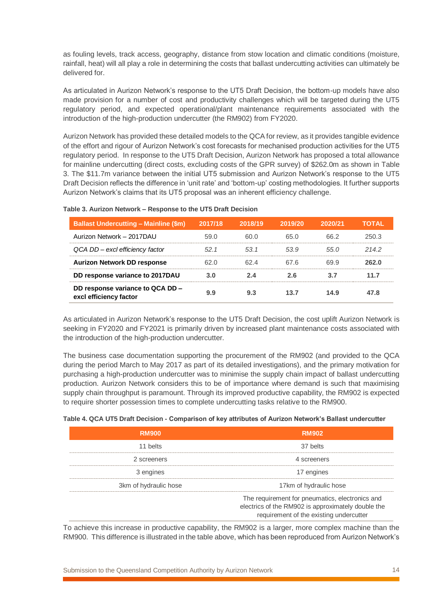as fouling levels, track access, geography, distance from stow location and climatic conditions (moisture, rainfall, heat) will all play a role in determining the costs that ballast undercutting activities can ultimately be delivered for.

As articulated in Aurizon Network's response to the UT5 Draft Decision, the bottom-up models have also made provision for a number of cost and productivity challenges which will be targeted during the UT5 regulatory period, and expected operational/plant maintenance requirements associated with the introduction of the high-production undercutter (the RM902) from FY2020.

Aurizon Network has provided these detailed models to the QCA for review, as it provides tangible evidence of the effort and rigour of Aurizon Network's cost forecasts for mechanised production activities for the UT5 regulatory period. In response to the UT5 Draft Decision, Aurizon Network has proposed a total allowance for mainline undercutting (direct costs, excluding costs of the GPR survey) of \$262.0m as shown in [Table](#page-13-0)  [3.](#page-13-0) The \$11.7m variance between the initial UT5 submission and Aurizon Network's response to the UT5 Draft Decision reflects the difference in 'unit rate' and 'bottom-up' costing methodologies. It further supports Aurizon Network's claims that its UT5 proposal was an inherent efficiency challenge.

| <b>Ballast Undercutting - Mainline (\$m)</b>               | 2017/18 | 2018/19 | 2019/20 | 2020/21 | ΤΩΤΑΙ |
|------------------------------------------------------------|---------|---------|---------|---------|-------|
| Aurizon Network - 2017DAU                                  | 59.0    | 60 O    | 65 O    | 66 2    | 250.3 |
| QCA DD-excl efficiency factor                              | .521    | .531    | 53.9    | .55 N   | 2142  |
| <b>Aurizon Network DD response</b>                         | 62 O    | 62 4    | 67 6    | 69 9    | 262.0 |
| DD response variance to 2017DAU                            | 3.O     | 2 A     | 2 6     |         | 11.7  |
| DD response variance to QCA DD -<br>excl efficiency factor | 9.9     | 93      | 13.7    | 14.9    | 47 R  |

#### <span id="page-13-0"></span>**Table 3. Aurizon Network – Response to the UT5 Draft Decision**

As articulated in Aurizon Network's response to the UT5 Draft Decision, the cost uplift Aurizon Network is seeking in FY2020 and FY2021 is primarily driven by increased plant maintenance costs associated with the introduction of the high-production undercutter.

The business case documentation supporting the procurement of the RM902 (and provided to the QCA during the period March to May 2017 as part of its detailed investigations), and the primary motivation for purchasing a high-production undercutter was to minimise the supply chain impact of ballast undercutting production. Aurizon Network considers this to be of importance where demand is such that maximising supply chain throughput is paramount. Through its improved productive capability, the RM902 is expected to require shorter possession times to complete undercutting tasks relative to the RM900.

#### **Table 4. QCA UT5 Draft Decision - Comparison of key attributes of Aurizon Network's Ballast undercutter**

| <b>RM900</b>          | <b>RM902</b>                                                                                                                                     |
|-----------------------|--------------------------------------------------------------------------------------------------------------------------------------------------|
| 11 belts              | 37 belts                                                                                                                                         |
| 2 screeners           | 4 screeners                                                                                                                                      |
| 3 engines             | 17 engines                                                                                                                                       |
| 3km of hydraulic hose | 17km of hydraulic hose                                                                                                                           |
|                       | The requirement for pneumatics, electronics and<br>electrics of the RM902 is approximately double the<br>requirement of the existing undercutter |

To achieve this increase in productive capability, the RM902 is a larger, more complex machine than the RM900. This difference is illustrated in the table above, which has been reproduced from Aurizon Network's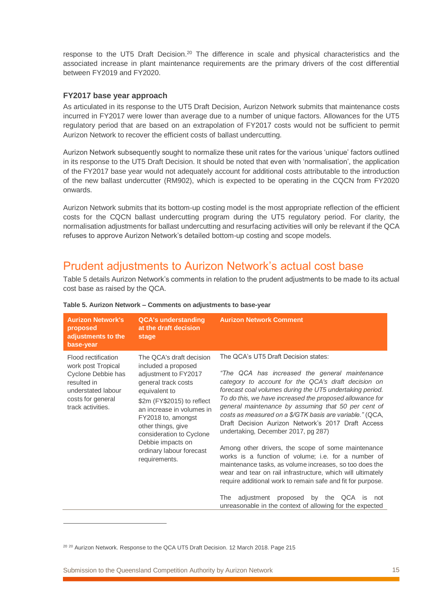response to the UT5 Draft Decision.<sup>20</sup> The difference in scale and physical characteristics and the associated increase in plant maintenance requirements are the primary drivers of the cost differential between FY2019 and FY2020.

### **FY2017 base year approach**

As articulated in its response to the UT5 Draft Decision, Aurizon Network submits that maintenance costs incurred in FY2017 were lower than average due to a number of unique factors. Allowances for the UT5 regulatory period that are based on an extrapolation of FY2017 costs would not be sufficient to permit Aurizon Network to recover the efficient costs of ballast undercutting.

Aurizon Network subsequently sought to normalize these unit rates for the various 'unique' factors outlined in its response to the UT5 Draft Decision. It should be noted that even with 'normalisation', the application of the FY2017 base year would not adequately account for additional costs attributable to the introduction of the new ballast undercutter (RM902), which is expected to be operating in the CQCN from FY2020 onwards.

Aurizon Network submits that its bottom-up costing model is the most appropriate reflection of the efficient costs for the CQCN ballast undercutting program during the UT5 regulatory period. For clarity, the normalisation adjustments for ballast undercutting and resurfacing activities will only be relevant if the QCA refuses to approve Aurizon Network's detailed bottom-up costing and scope models.

# <span id="page-14-0"></span>Prudent adjustments to Aurizon Network's actual cost base

[Table 5](#page-14-1) details Aurizon Network's comments in relation to the prudent adjustments to be made to its actual cost base as raised by the QCA.

| <b>Aurizon Network's</b><br>proposed<br>adjustments to the<br>base-year                                                                        | <b>QCA's understanding</b><br>at the draft decision<br>stage                                                                                                                                                                                                                                                         | <b>Aurizon Network Comment</b>                                                                                                                                                                                                                                                                                                                                                                                                                                                                                                                                                                                                                                                                                                                                                                                                                                                                                |
|------------------------------------------------------------------------------------------------------------------------------------------------|----------------------------------------------------------------------------------------------------------------------------------------------------------------------------------------------------------------------------------------------------------------------------------------------------------------------|---------------------------------------------------------------------------------------------------------------------------------------------------------------------------------------------------------------------------------------------------------------------------------------------------------------------------------------------------------------------------------------------------------------------------------------------------------------------------------------------------------------------------------------------------------------------------------------------------------------------------------------------------------------------------------------------------------------------------------------------------------------------------------------------------------------------------------------------------------------------------------------------------------------|
| Flood rectification<br>work post Tropical<br>Cyclone Debbie has<br>resulted in<br>understated labour<br>costs for general<br>track activities. | The QCA's draft decision<br>included a proposed<br>adjustment to FY2017<br>general track costs<br>equivalent to<br>\$2m (FY\$2015) to reflect<br>an increase in volumes in<br>FY2018 to, amongst<br>other things, give<br>consideration to Cyclone<br>Debbie impacts on<br>ordinary labour forecast<br>requirements. | The QCA's UT5 Draft Decision states:<br>"The QCA has increased the general maintenance<br>category to account for the QCA's draft decision on<br>forecast coal volumes during the UT5 undertaking period.<br>To do this, we have increased the proposed allowance for<br>general maintenance by assuming that 50 per cent of<br>costs as measured on a \$/GTK basis are variable." (QCA,<br>Draft Decision Aurizon Network's 2017 Draft Access<br>undertaking, December 2017, pg 287)<br>Among other drivers, the scope of some maintenance<br>works is a function of volume; i.e. for a number of<br>maintenance tasks, as volume increases, so too does the<br>wear and tear on rail infrastructure, which will ultimately<br>require additional work to remain safe and fit for purpose.<br>proposed by the QCA is<br>The<br>adjustment<br>not<br>unreasonable in the context of allowing for the expected |
|                                                                                                                                                |                                                                                                                                                                                                                                                                                                                      |                                                                                                                                                                                                                                                                                                                                                                                                                                                                                                                                                                                                                                                                                                                                                                                                                                                                                                               |

#### <span id="page-14-1"></span>**Table 5. Aurizon Network – Comments on adjustments to base-year**

Submission to the Queensland Competition Authority by Aurizon Network 15

<sup>&</sup>lt;sup>20 20</sup> Aurizon Network. Response to the QCA UT5 Draft Decision. 12 March 2018. Page 215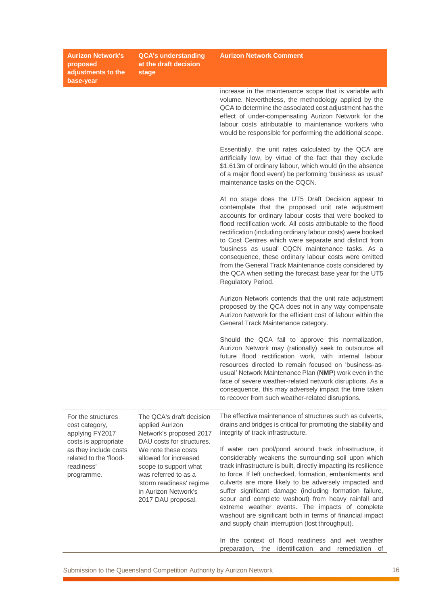**Aurizon Network's proposed adjustments to the base-year QCA's understanding at the draft decision stage Aurizon Network Comment** increase in the maintenance scope that is variable with volume. Nevertheless, the methodology applied by the QCA to determine the associated cost adjustment has the effect of under-compensating Aurizon Network for the labour costs attributable to maintenance workers who would be responsible for performing the additional scope. Essentially, the unit rates calculated by the QCA are artificially low, by virtue of the fact that they exclude \$1.613m of ordinary labour, which would (in the absence of a major flood event) be performing 'business as usual' maintenance tasks on the CQCN. At no stage does the UT5 Draft Decision appear to contemplate that the proposed unit rate adjustment accounts for ordinary labour costs that were booked to flood rectification work. All costs attributable to the flood rectification (including ordinary labour costs) were booked to Cost Centres which were separate and distinct from 'business as usual' CQCN maintenance tasks. As a consequence, these ordinary labour costs were omitted from the General Track Maintenance costs considered by the QCA when setting the forecast base year for the UT5 Regulatory Period. Aurizon Network contends that the unit rate adjustment proposed by the QCA does not in any way compensate Aurizon Network for the efficient cost of labour within the General Track Maintenance category. Should the QCA fail to approve this normalization, Aurizon Network may (rationally) seek to outsource all future flood rectification work, with internal labour resources directed to remain focused on 'business-asusual' Network Maintenance Plan (**NMP**) work even in the face of severe weather-related network disruptions. As a consequence, this may adversely impact the time taken to recover from such weather-related disruptions. For the structures cost category, applying FY2017 costs is appropriate as they include costs related to the 'floodreadiness' programme. The QCA's draft decision applied Aurizon Network's proposed 2017 DAU costs for structures. We note these costs allowed for increased scope to support what was referred to as a 'storm readiness' regime in Aurizon Network's 2017 DAU proposal. The effective maintenance of structures such as culverts, drains and bridges is critical for promoting the stability and integrity of track infrastructure. If water can pool/pond around track infrastructure, it considerably weakens the surrounding soil upon which track infrastructure is built, directly impacting its resilience to force. If left unchecked, formation, embankments and culverts are more likely to be adversely impacted and suffer significant damage (including formation failure, scour and complete washout) from heavy rainfall and extreme weather events. The impacts of complete washout are significant both in terms of financial impact and supply chain interruption (lost throughput).

> In the context of flood readiness and wet weather preparation, the identification and remediation of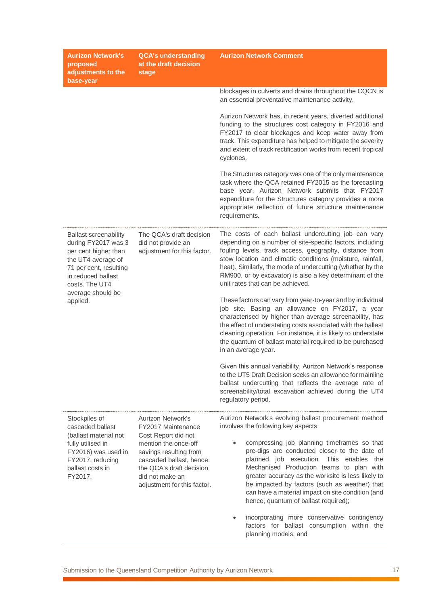| <b>Aurizon Network's</b><br>proposed<br>adjustments to the<br>base-year                                                                                             | <b>QCA's understanding</b><br>at the draft decision<br>stage                                                                                                                   | <b>Aurizon Network Comment</b>                                                                                                                                                                                                                                                                                                                                                                         |
|---------------------------------------------------------------------------------------------------------------------------------------------------------------------|--------------------------------------------------------------------------------------------------------------------------------------------------------------------------------|--------------------------------------------------------------------------------------------------------------------------------------------------------------------------------------------------------------------------------------------------------------------------------------------------------------------------------------------------------------------------------------------------------|
|                                                                                                                                                                     |                                                                                                                                                                                | blockages in culverts and drains throughout the CQCN is<br>an essential preventative maintenance activity.                                                                                                                                                                                                                                                                                             |
|                                                                                                                                                                     |                                                                                                                                                                                | Aurizon Network has, in recent years, diverted additional<br>funding to the structures cost category in FY2016 and<br>FY2017 to clear blockages and keep water away from<br>track. This expenditure has helped to mitigate the severity<br>and extent of track rectification works from recent tropical<br>cyclones.                                                                                   |
|                                                                                                                                                                     |                                                                                                                                                                                | The Structures category was one of the only maintenance<br>task where the QCA retained FY2015 as the forecasting<br>base year. Aurizon Network submits that FY2017<br>expenditure for the Structures category provides a more<br>appropriate reflection of future structure maintenance<br>requirements.                                                                                               |
| <b>Ballast screenability</b><br>during FY2017 was 3<br>per cent higher than<br>the UT4 average of<br>71 per cent, resulting<br>in reduced ballast<br>costs. The UT4 | The QCA's draft decision<br>did not provide an<br>adjustment for this factor.                                                                                                  | The costs of each ballast undercutting job can vary<br>depending on a number of site-specific factors, including<br>fouling levels, track access, geography, distance from<br>stow location and climatic conditions (moisture, rainfall,<br>heat). Similarly, the mode of undercutting (whether by the<br>RM900, or by excavator) is also a key determinant of the<br>unit rates that can be achieved. |
| average should be<br>applied.                                                                                                                                       |                                                                                                                                                                                | These factors can vary from year-to-year and by individual<br>job site. Basing an allowance on FY2017, a year<br>characterised by higher than average screenability, has<br>the effect of understating costs associated with the ballast<br>cleaning operation. For instance, it is likely to understate<br>the quantum of ballast material required to be purchased<br>in an average year.            |
|                                                                                                                                                                     |                                                                                                                                                                                | Given this annual variability, Aurizon Network's response<br>to the UT5 Draft Decision seeks an allowance for mainline<br>ballast undercutting that reflects the average rate of<br>screenability/total excavation achieved during the UT4<br>regulatory period.                                                                                                                                       |
| Stockpiles of<br>cascaded ballast                                                                                                                                   | Aurizon Network's<br>FY2017 Maintenance                                                                                                                                        | Aurizon Network's evolving ballast procurement method<br>involves the following key aspects:                                                                                                                                                                                                                                                                                                           |
| (ballast material not<br>fully utilised in<br>FY2016) was used in<br>FY2017, reducing<br>ballast costs in<br>FY2017.                                                | Cost Report did not<br>mention the once-off<br>savings resulting from<br>cascaded ballast, hence<br>the QCA's draft decision<br>did not make an<br>adjustment for this factor. | compressing job planning timeframes so that<br>pre-digs are conducted closer to the date of<br>planned job execution. This enables the<br>Mechanised Production teams to plan with<br>greater accuracy as the worksite is less likely to<br>be impacted by factors (such as weather) that<br>can have a material impact on site condition (and<br>hence, quantum of ballast required);                 |
|                                                                                                                                                                     |                                                                                                                                                                                | incorporating more conservative contingency<br>$\bullet$<br>factors for ballast consumption within the<br>planning models; and                                                                                                                                                                                                                                                                         |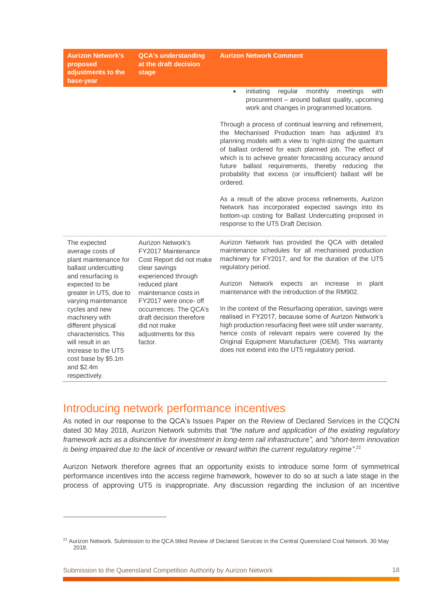| <b>Aurizon Network's</b><br>proposed<br>adjustments to the<br>base-year                                                                                                                                                                                                                                                                        | <b>QCA's understanding</b><br>at the draft decision<br>stage                                                                                                                                                                                                                           | <b>Aurizon Network Comment</b>                                                                                                                                                                                                                                                                                                                                                                                                                                                                                                                                                                                                                                                                                                                                           |
|------------------------------------------------------------------------------------------------------------------------------------------------------------------------------------------------------------------------------------------------------------------------------------------------------------------------------------------------|----------------------------------------------------------------------------------------------------------------------------------------------------------------------------------------------------------------------------------------------------------------------------------------|--------------------------------------------------------------------------------------------------------------------------------------------------------------------------------------------------------------------------------------------------------------------------------------------------------------------------------------------------------------------------------------------------------------------------------------------------------------------------------------------------------------------------------------------------------------------------------------------------------------------------------------------------------------------------------------------------------------------------------------------------------------------------|
|                                                                                                                                                                                                                                                                                                                                                |                                                                                                                                                                                                                                                                                        | initiating<br>regular<br>monthly<br>meetings<br>with<br>$\bullet$<br>procurement - around ballast quality, upcoming<br>work and changes in programmed locations.<br>Through a process of continual learning and refinement,<br>the Mechanised Production team has adjusted it's<br>planning models with a view to 'right-sizing' the quantum<br>of ballast ordered for each planned job. The effect of<br>which is to achieve greater forecasting accuracy around<br>future ballast requirements, thereby reducing the<br>probability that excess (or insufficient) ballast will be<br>ordered.<br>As a result of the above process refinements, Aurizon<br>Network has incorporated expected savings into its<br>bottom-up costing for Ballast Undercutting proposed in |
|                                                                                                                                                                                                                                                                                                                                                |                                                                                                                                                                                                                                                                                        | response to the UT5 Draft Decision.                                                                                                                                                                                                                                                                                                                                                                                                                                                                                                                                                                                                                                                                                                                                      |
| The expected<br>average costs of<br>plant maintenance for<br>ballast undercutting<br>and resurfacing is<br>expected to be<br>greater in UT5, due to<br>varying maintenance<br>cycles and new<br>machinery with<br>different physical<br>characteristics. This<br>will result in an<br>increase to the UT5<br>cost base by \$5.1m<br>and \$2.4m | Aurizon Network's<br>FY2017 Maintenance<br>Cost Report did not make<br>clear savings<br>experienced through<br>reduced plant<br>maintenance costs in<br>FY2017 were once- off<br>occurrences. The QCA's<br>draft decision therefore<br>did not make<br>adjustments for this<br>factor. | Aurizon Network has provided the QCA with detailed<br>maintenance schedules for all mechanised production<br>machinery for FY2017, and for the duration of the UT5<br>regulatory period.<br>Aurizon Network<br>expects<br>an<br>increase<br>in<br>plant<br>maintenance with the introduction of the RM902.<br>In the context of the Resurfacing operation, savings were<br>realised in FY2017, because some of Aurizon Network's<br>high production resurfacing fleet were still under warranty,<br>hence costs of relevant repairs were covered by the<br>Original Equipment Manufacturer (OEM). This warranty<br>does not extend into the UT5 regulatory period.                                                                                                       |

### Introducing network performance incentives

<span id="page-17-0"></span>respectively.

 $\overline{a}$ 

As noted in our response to the QCA's Issues Paper on the Review of Declared Services in the CQCN dated 30 May 2018, Aurizon Network submits that *"the nature and application of the existing regulatory framework acts as a disincentive for investment in long-term rail infrastructure",* and *"short-term innovation is being impaired due to the lack of incentive or reward within the current regulatory regime".<sup>21</sup>*

Aurizon Network therefore agrees that an opportunity exists to introduce some form of symmetrical performance incentives into the access regime framework, however to do so at such a late stage in the process of approving UT5 is inappropriate. Any discussion regarding the inclusion of an incentive

<sup>&</sup>lt;sup>21</sup> Aurizon Network. Submission to the QCA titled Review of Declared Services in the Central Queensland Coal Network. 30 May 2018.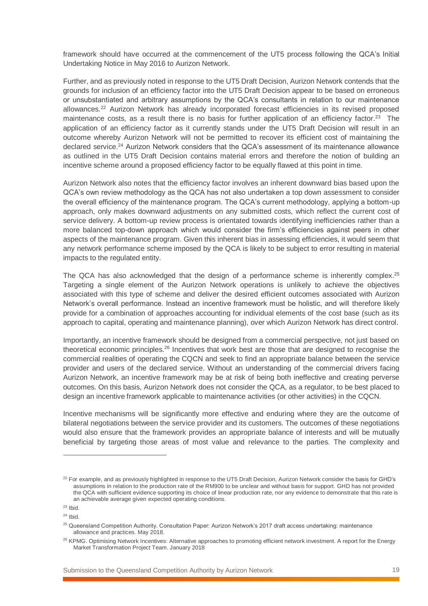framework should have occurred at the commencement of the UT5 process following the QCA's Initial Undertaking Notice in May 2016 to Aurizon Network.

Further, and as previously noted in response to the UT5 Draft Decision, Aurizon Network contends that the grounds for inclusion of an efficiency factor into the UT5 Draft Decision appear to be based on erroneous or unsubstantiated and arbitrary assumptions by the QCA's consultants in relation to our maintenance allowances.<sup>22</sup> Aurizon Network has already incorporated forecast efficiencies in its revised proposed maintenance costs, as a result there is no basis for further application of an efficiency factor.<sup>23</sup> The application of an efficiency factor as it currently stands under the UT5 Draft Decision will result in an outcome whereby Aurizon Network will not be permitted to recover its efficient cost of maintaining the declared service.<sup>24</sup> Aurizon Network considers that the QCA's assessment of its maintenance allowance as outlined in the UT5 Draft Decision contains material errors and therefore the notion of building an incentive scheme around a proposed efficiency factor to be equally flawed at this point in time.

Aurizon Network also notes that the efficiency factor involves an inherent downward bias based upon the QCA's own review methodology as the QCA has not also undertaken a top down assessment to consider the overall efficiency of the maintenance program. The QCA's current methodology, applying a bottom-up approach, only makes downward adjustments on any submitted costs, which reflect the current cost of service delivery. A bottom-up review process is orientated towards identifying inefficiencies rather than a more balanced top-down approach which would consider the firm's efficiencies against peers in other aspects of the maintenance program. Given this inherent bias in assessing efficiencies, it would seem that any network performance scheme imposed by the QCA is likely to be subject to error resulting in material impacts to the regulated entity.

The QCA has also acknowledged that the design of a performance scheme is inherently complex.<sup>25</sup> Targeting a single element of the Aurizon Network operations is unlikely to achieve the objectives associated with this type of scheme and deliver the desired efficient outcomes associated with Aurizon Network's overall performance. Instead an incentive framework must be holistic, and will therefore likely provide for a combination of approaches accounting for individual elements of the cost base (such as its approach to capital, operating and maintenance planning), over which Aurizon Network has direct control.

Importantly, an incentive framework should be designed from a commercial perspective, not just based on theoretical economic principles.<sup>26</sup> Incentives that work best are those that are designed to recognise the commercial realities of operating the CQCN and seek to find an appropriate balance between the service provider and users of the declared service. Without an understanding of the commercial drivers facing Aurizon Network, an incentive framework may be at risk of being both ineffective and creating perverse outcomes. On this basis, Aurizon Network does not consider the QCA, as a regulator, to be best placed to design an incentive framework applicable to maintenance activities (or other activities) in the CQCN.

Incentive mechanisms will be significantly more effective and enduring where they are the outcome of bilateral negotiations between the service provider and its customers. The outcomes of these negotiations would also ensure that the framework provides an appropriate balance of interests and will be mutually beneficial by targeting those areas of most value and relevance to the parties. The complexity and

<sup>&</sup>lt;sup>22</sup> For example, and as previously highlighted in response to the UT5 Draft Decision, Aurizon Network consider the basis for GHD's assumptions in relation to the production rate of the RM900 to be unclear and without basis for support. GHD has not provided the QCA with sufficient evidence supporting its choice of linear production rate, nor any evidence to demonstrate that this rate is an achievable average given expected operating conditions.

 $23$  Ibid.  $24$  Ibid.

<sup>&</sup>lt;sup>25</sup> Queensland Competition Authority. Consultation Paper: Aurizon Network's 2017 draft access undertaking: maintenance allowance and practices. May 2018.

<sup>&</sup>lt;sup>26</sup> KPMG. Optimising Network Incentives: Alternative approaches to promoting efficient network investment. A report for the Energy Market Transformation Project Team. January 2018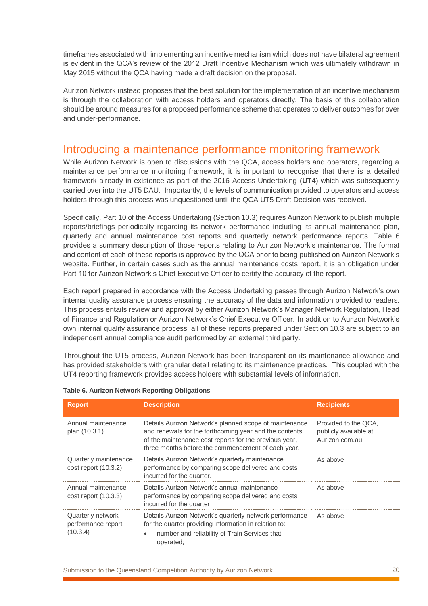timeframes associated with implementing an incentive mechanism which does not have bilateral agreement is evident in the QCA's review of the 2012 Draft Incentive Mechanism which was ultimately withdrawn in May 2015 without the QCA having made a draft decision on the proposal.

Aurizon Network instead proposes that the best solution for the implementation of an incentive mechanism is through the collaboration with access holders and operators directly. The basis of this collaboration should be around measures for a proposed performance scheme that operates to deliver outcomes for over and under-performance.

### <span id="page-19-0"></span>Introducing a maintenance performance monitoring framework

While Aurizon Network is open to discussions with the QCA, access holders and operators, regarding a maintenance performance monitoring framework, it is important to recognise that there is a detailed framework already in existence as part of the 2016 Access Undertaking (**UT4**) which was subsequently carried over into the UT5 DAU. Importantly, the levels of communication provided to operators and access holders through this process was unquestioned until the QCA UT5 Draft Decision was received.

Specifically, Part 10 of the Access Undertaking (Section 10.3) requires Aurizon Network to publish multiple reports/briefings periodically regarding its network performance including its annual maintenance plan, quarterly and annual maintenance cost reports and quarterly network performance reports. [Table 6](#page-19-1) provides a summary description of those reports relating to Aurizon Network's maintenance. The format and content of each of these reports is approved by the QCA prior to being published on Aurizon Network's website. Further, in certain cases such as the annual maintenance costs report, it is an obligation under Part 10 for Aurizon Network's Chief Executive Officer to certify the accuracy of the report.

Each report prepared in accordance with the Access Undertaking passes through Aurizon Network's own internal quality assurance process ensuring the accuracy of the data and information provided to readers. This process entails review and approval by either Aurizon Network's Manager Network Regulation, Head of Finance and Regulation or Aurizon Network's Chief Executive Officer. In addition to Aurizon Network's own internal quality assurance process, all of these reports prepared under Section 10.3 are subject to an independent annual compliance audit performed by an external third party.

Throughout the UT5 process, Aurizon Network has been transparent on its maintenance allowance and has provided stakeholders with granular detail relating to its maintenance practices. This coupled with the UT4 reporting framework provides access holders with substantial levels of information.

| <b>Report</b>                                       | <b>Description</b>                                                                                                                                                                                                               | <b>Recipients</b>                                               |
|-----------------------------------------------------|----------------------------------------------------------------------------------------------------------------------------------------------------------------------------------------------------------------------------------|-----------------------------------------------------------------|
| Annual maintenance<br>plan (10.3.1)                 | Details Aurizon Network's planned scope of maintenance<br>and renewals for the forthcoming year and the contents<br>of the maintenance cost reports for the previous year,<br>three months before the commencement of each year. | Provided to the QCA.<br>publicly available at<br>Aurizon.com.au |
| Quarterly maintenance<br>$cost$ report $(10.3.2)$   | Details Aurizon Network's quarterly maintenance<br>performance by comparing scope delivered and costs<br>incurred for the quarter.                                                                                               | As above                                                        |
| Annual maintenance<br>$cost$ report $(10.3.3)$      | Details Aurizon Network's annual maintenance<br>performance by comparing scope delivered and costs<br>incurred for the quarter                                                                                                   | As above                                                        |
| Quarterly network<br>performance report<br>(10.3.4) | Details Aurizon Network's quarterly network performance<br>for the quarter providing information in relation to:<br>number and reliability of Train Services that<br>$\bullet$<br>operated;                                      | As above                                                        |

<span id="page-19-1"></span>

|  |  |  |  |  | Table 6. Aurizon Network Reporting Obligations |
|--|--|--|--|--|------------------------------------------------|
|--|--|--|--|--|------------------------------------------------|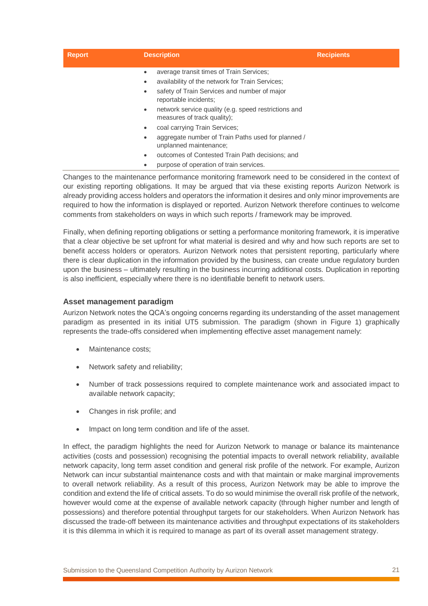| <b>Report</b> | <b>Description</b>                                                                                                                                                        | <b>Recipients</b> |
|---------------|---------------------------------------------------------------------------------------------------------------------------------------------------------------------------|-------------------|
|               | average transit times of Train Services;<br>availability of the network for Train Services;<br>safety of Train Services and number of major<br>٠<br>reportable incidents; |                   |
|               | network service quality (e.g. speed restrictions and<br>$\bullet$<br>measures of track quality);                                                                          |                   |
|               | coal carrying Train Services;<br>٠                                                                                                                                        |                   |
|               | aggregate number of Train Paths used for planned /<br>٠<br>unplanned maintenance;                                                                                         |                   |
|               | outcomes of Contested Train Path decisions; and                                                                                                                           |                   |
|               | purpose of operation of train services.                                                                                                                                   |                   |

Changes to the maintenance performance monitoring framework need to be considered in the context of our existing reporting obligations. It may be argued that via these existing reports Aurizon Network is already providing access holders and operators the information it desires and only minor improvements are required to how the information is displayed or reported. Aurizon Network therefore continues to welcome comments from stakeholders on ways in which such reports / framework may be improved.

Finally, when defining reporting obligations or setting a performance monitoring framework, it is imperative that a clear objective be set upfront for what material is desired and why and how such reports are set to benefit access holders or operators. Aurizon Network notes that persistent reporting, particularly where there is clear duplication in the information provided by the business, can create undue regulatory burden upon the business – ultimately resulting in the business incurring additional costs. Duplication in reporting is also inefficient, especially where there is no identifiable benefit to network users.

### **Asset management paradigm**

Aurizon Network notes the QCA's ongoing concerns regarding its understanding of the asset management paradigm as presented in its initial UT5 submission. The paradigm (shown in [Figure 1\)](#page-21-1) graphically represents the trade-offs considered when implementing effective asset management namely:

- Maintenance costs;
- Network safety and reliability;
- Number of track possessions required to complete maintenance work and associated impact to available network capacity;
- Changes in risk profile; and
- Impact on long term condition and life of the asset.

In effect, the paradigm highlights the need for Aurizon Network to manage or balance its maintenance activities (costs and possession) recognising the potential impacts to overall network reliability, available network capacity, long term asset condition and general risk profile of the network. For example, Aurizon Network can incur substantial maintenance costs and with that maintain or make marginal improvements to overall network reliability. As a result of this process, Aurizon Network may be able to improve the condition and extend the life of critical assets. To do so would minimise the overall risk profile of the network, however would come at the expense of available network capacity (through higher number and length of possessions) and therefore potential throughput targets for our stakeholders. When Aurizon Network has discussed the trade-off between its maintenance activities and throughput expectations of its stakeholders it is this dilemma in which it is required to manage as part of its overall asset management strategy.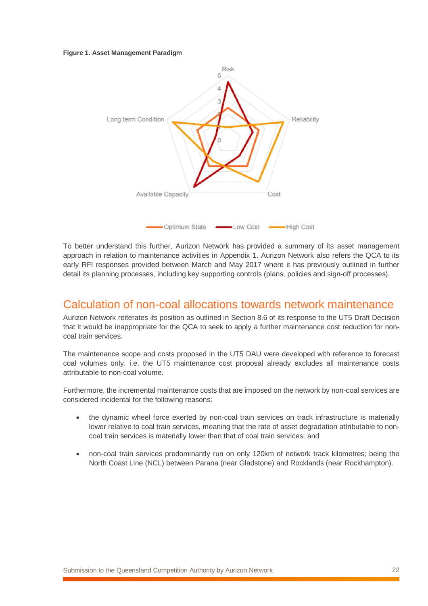#### <span id="page-21-1"></span>**Figure 1. Asset Management Paradigm**



To better understand this further, Aurizon Network has provided a summary of its asset management approach in relation to maintenance activities in Appendix 1. Aurizon Network also refers the QCA to its early RFI responses provided between March and May 2017 where it has previously outlined in further detail its planning processes, including key supporting controls (plans, policies and sign-off processes).

### <span id="page-21-0"></span>Calculation of non-coal allocations towards network maintenance

Aurizon Network reiterates its position as outlined in Section 8.6 of its response to the UT5 Draft Decision that it would be inappropriate for the QCA to seek to apply a further maintenance cost reduction for noncoal train services.

The maintenance scope and costs proposed in the UT5 DAU were developed with reference to forecast coal volumes only, i.e. the UT5 maintenance cost proposal already excludes all maintenance costs attributable to non-coal volume.

Furthermore, the incremental maintenance costs that are imposed on the network by non-coal services are considered incidental for the following reasons:

- the dynamic wheel force exerted by non-coal train services on track infrastructure is materially lower relative to coal train services, meaning that the rate of asset degradation attributable to noncoal train services is materially lower than that of coal train services; and
- non-coal train services predominantly run on only 120km of network track kilometres; being the North Coast Line (NCL) between Parana (near Gladstone) and Rocklands (near Rockhampton).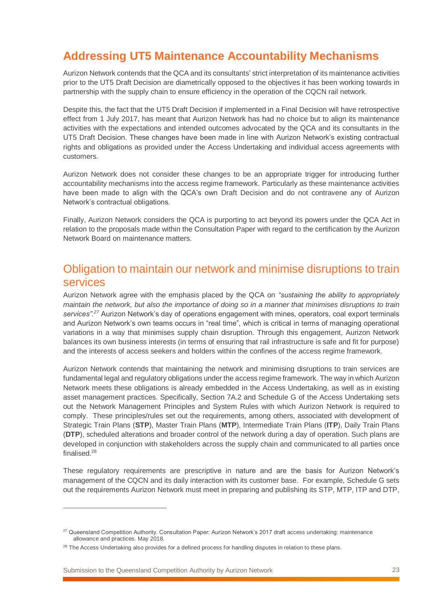# <span id="page-22-0"></span>**Addressing UT5 Maintenance Accountability Mechanisms**

Aurizon Network contends that the QCA and its consultants' strict interpretation of its maintenance activities prior to the UT5 Draft Decision are diametrically opposed to the objectives it has been working towards in partnership with the supply chain to ensure efficiency in the operation of the CQCN rail network.

Despite this, the fact that the UT5 Draft Decision if implemented in a Final Decision will have retrospective effect from 1 July 2017, has meant that Aurizon Network has had no choice but to align its maintenance activities with the expectations and intended outcomes advocated by the QCA and its consultants in the UT5 Draft Decision. These changes have been made in line with Aurizon Network's existing contractual rights and obligations as provided under the Access Undertaking and individual access agreements with customers.

Aurizon Network does not consider these changes to be an appropriate trigger for introducing further accountability mechanisms into the access regime framework. Particularly as these maintenance activities have been made to align with the QCA's own Draft Decision and do not contravene any of Aurizon Network's contractual obligations.

Finally, Aurizon Network considers the QCA is purporting to act beyond its powers under the QCA Act in relation to the proposals made within the Consultation Paper with regard to the certification by the Aurizon Network Board on maintenance matters.

### <span id="page-22-1"></span>Obligation to maintain our network and minimise disruptions to train services

Aurizon Network agree with the emphasis placed by the QCA on *"sustaining the ability to appropriately maintain the network, but also the importance of doing so in a manner that minimises disruptions to train services".<sup>27</sup>* Aurizon Network's day of operations engagement with mines, operators, coal export terminals and Aurizon Network's own teams occurs in "real time", which is critical in terms of managing operational variations in a way that minimises supply chain disruption. Through this engagement, Aurizon Network balances its own business interests (in terms of ensuring that rail infrastructure is safe and fit for purpose) and the interests of access seekers and holders within the confines of the access regime framework.

Aurizon Network contends that maintaining the network and minimising disruptions to train services are fundamental legal and regulatory obligations under the access regime framework. The way in which Aurizon Network meets these obligations is already embedded in the Access Undertaking, as well as in existing asset management practices. Specifically, Section 7A.2 and Schedule G of the Access Undertaking sets out the Network Management Principles and System Rules with which Aurizon Network is required to comply. These principles/rules set out the requirements, among others, associated with development of Strategic Train Plans (**STP**), Master Train Plans (**MTP**), Intermediate Train Plans (**ITP**), Daily Train Plans (**DTP**), scheduled alterations and broader control of the network during a day of operation. Such plans are developed in conjunction with stakeholders across the supply chain and communicated to all parties once finalised.<sup>28</sup>

These regulatory requirements are prescriptive in nature and are the basis for Aurizon Network's management of the CQCN and its daily interaction with its customer base. For example, Schedule G sets out the requirements Aurizon Network must meet in preparing and publishing its STP, MTP, ITP and DTP,

<sup>&</sup>lt;sup>27</sup> Queensland Competition Authority. Consultation Paper: Aurizon Network's 2017 draft access undertaking: maintenance allowance and practices. May 2018.

<sup>&</sup>lt;sup>28</sup> The Access Undertaking also provides for a defined process for handling disputes in relation to these plans.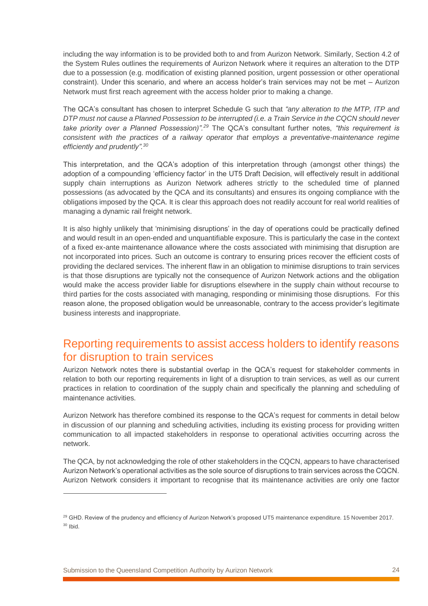including the way information is to be provided both to and from Aurizon Network. Similarly, Section 4.2 of the System Rules outlines the requirements of Aurizon Network where it requires an alteration to the DTP due to a possession (e.g. modification of existing planned position, urgent possession or other operational constraint). Under this scenario, and where an access holder's train services may not be met – Aurizon Network must first reach agreement with the access holder prior to making a change.

The QCA's consultant has chosen to interpret Schedule G such that *"any alteration to the MTP, ITP and DTP must not cause a Planned Possession to be interrupted (i.e. a Train Service in the CQCN should never take priority over a Planned Possession)". <sup>29</sup>* The QCA's consultant further notes, *"this requirement is consistent with the practices of a railway operator that employs a preventative-maintenance regime efficiently and prudently". 30*

This interpretation, and the QCA's adoption of this interpretation through (amongst other things) the adoption of a compounding 'efficiency factor' in the UT5 Draft Decision, will effectively result in additional supply chain interruptions as Aurizon Network adheres strictly to the scheduled time of planned possessions (as advocated by the QCA and its consultants) and ensures its ongoing compliance with the obligations imposed by the QCA. It is clear this approach does not readily account for real world realities of managing a dynamic rail freight network.

It is also highly unlikely that 'minimising disruptions' in the day of operations could be practically defined and would result in an open-ended and unquantifiable exposure. This is particularly the case in the context of a fixed ex-ante maintenance allowance where the costs associated with minimising that disruption are not incorporated into prices. Such an outcome is contrary to ensuring prices recover the efficient costs of providing the declared services. The inherent flaw in an obligation to minimise disruptions to train services is that those disruptions are typically not the consequence of Aurizon Network actions and the obligation would make the access provider liable for disruptions elsewhere in the supply chain without recourse to third parties for the costs associated with managing, responding or minimising those disruptions. For this reason alone, the proposed obligation would be unreasonable, contrary to the access provider's legitimate business interests and inappropriate.

### <span id="page-23-0"></span>Reporting requirements to assist access holders to identify reasons for disruption to train services

Aurizon Network notes there is substantial overlap in the QCA's request for stakeholder comments in relation to both our reporting requirements in light of a disruption to train services, as well as our current practices in relation to coordination of the supply chain and specifically the planning and scheduling of maintenance activities.

Aurizon Network has therefore combined its response to the QCA's request for comments in detail below in discussion of our planning and scheduling activities, including its existing process for providing written communication to all impacted stakeholders in response to operational activities occurring across the network.

The QCA, by not acknowledging the role of other stakeholders in the CQCN, appears to have characterised Aurizon Network's operational activities as the sole source of disruptions to train services across the CQCN. Aurizon Network considers it important to recognise that its maintenance activities are only one factor

Submission to the Queensland Competition Authority by Aurizon Network 24

<sup>&</sup>lt;sup>29</sup> GHD. Review of the prudency and efficiency of Aurizon Network's proposed UT5 maintenance expenditure. 15 November 2017. <sup>30</sup> Ibid.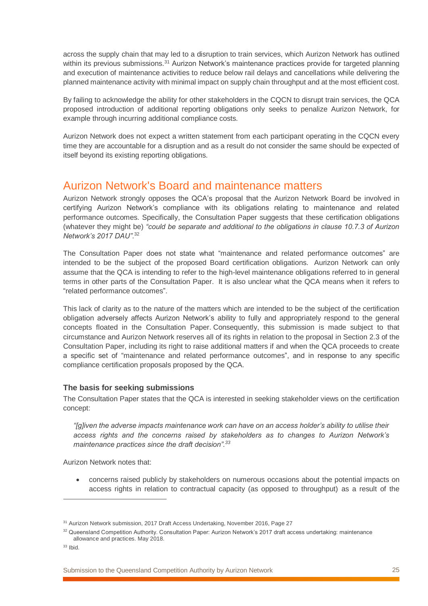across the supply chain that may led to a disruption to train services, which Aurizon Network has outlined within its previous submissions.<sup>31</sup> Aurizon Network's maintenance practices provide for targeted planning and execution of maintenance activities to reduce below rail delays and cancellations while delivering the planned maintenance activity with minimal impact on supply chain throughput and at the most efficient cost.

By failing to acknowledge the ability for other stakeholders in the CQCN to disrupt train services, the QCA proposed introduction of additional reporting obligations only seeks to penalize Aurizon Network, for example through incurring additional compliance costs.

Aurizon Network does not expect a written statement from each participant operating in the CQCN every time they are accountable for a disruption and as a result do not consider the same should be expected of itself beyond its existing reporting obligations.

### <span id="page-24-0"></span>Aurizon Network's Board and maintenance matters

Aurizon Network strongly opposes the QCA's proposal that the Aurizon Network Board be involved in certifying Aurizon Network's compliance with its obligations relating to maintenance and related performance outcomes. Specifically, the Consultation Paper suggests that these certification obligations (whatever they might be) *"could be separate and additional to the obligations in clause 10.7.3 of Aurizon Network's 2017 DAU"*. 32

The Consultation Paper does not state what "maintenance and related performance outcomes" are intended to be the subject of the proposed Board certification obligations. Aurizon Network can only assume that the QCA is intending to refer to the high-level maintenance obligations referred to in general terms in other parts of the Consultation Paper. It is also unclear what the QCA means when it refers to "related performance outcomes".

This lack of clarity as to the nature of the matters which are intended to be the subject of the certification obligation adversely affects Aurizon Network's ability to fully and appropriately respond to the general concepts floated in the Consultation Paper. Consequently, this submission is made subject to that circumstance and Aurizon Network reserves all of its rights in relation to the proposal in Section 2.3 of the Consultation Paper, including its right to raise additional matters if and when the QCA proceeds to create a specific set of "maintenance and related performance outcomes", and in response to any specific compliance certification proposals proposed by the QCA.

### **The basis for seeking submissions**

The Consultation Paper states that the QCA is interested in seeking stakeholder views on the certification concept:

*"[g]iven the adverse impacts maintenance work can have on an access holder's ability to utilise their access rights and the concerns raised by stakeholders as to changes to Aurizon Network's maintenance practices since the draft decision".<sup>33</sup>*

Aurizon Network notes that:

• concerns raised publicly by stakeholders on numerous occasions about the potential impacts on access rights in relation to contractual capacity (as opposed to throughput) as a result of the

 $\overline{a}$ 

<sup>&</sup>lt;sup>31</sup> Aurizon Network submission, 2017 Draft Access Undertaking, November 2016, Page 27

<sup>32</sup> Queensland Competition Authority. Consultation Paper: Aurizon Network's 2017 draft access undertaking: maintenance allowance and practices. May 2018.

<sup>33</sup> Ibid.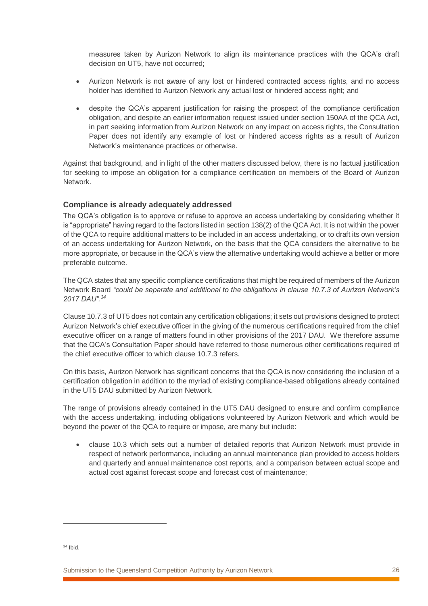measures taken by Aurizon Network to align its maintenance practices with the QCA's draft decision on UT5, have not occurred;

- Aurizon Network is not aware of any lost or hindered contracted access rights, and no access holder has identified to Aurizon Network any actual lost or hindered access right; and
- despite the QCA's apparent justification for raising the prospect of the compliance certification obligation, and despite an earlier information request issued under section 150AA of the QCA Act, in part seeking information from Aurizon Network on any impact on access rights, the Consultation Paper does not identify any example of lost or hindered access rights as a result of Aurizon Network's maintenance practices or otherwise.

Against that background, and in light of the other matters discussed below, there is no factual justification for seeking to impose an obligation for a compliance certification on members of the Board of Aurizon Network.

### **Compliance is already adequately addressed**

The QCA's obligation is to approve or refuse to approve an access undertaking by considering whether it is "appropriate" having regard to the factors listed in section 138(2) of the QCA Act. It is not within the power of the QCA to require additional matters to be included in an access undertaking, or to draft its own version of an access undertaking for Aurizon Network, on the basis that the QCA considers the alternative to be more appropriate, or because in the QCA's view the alternative undertaking would achieve a better or more preferable outcome.

The QCA states that any specific compliance certifications that might be required of members of the Aurizon Network Board *"could be separate and additional to the obligations in clause 10.7.3 of Aurizon Network's 2017 DAU". 34*

Clause 10.7.3 of UT5 does not contain any certification obligations; it sets out provisions designed to protect Aurizon Network's chief executive officer in the giving of the numerous certifications required from the chief executive officer on a range of matters found in other provisions of the 2017 DAU. We therefore assume that the QCA's Consultation Paper should have referred to those numerous other certifications required of the chief executive officer to which clause 10.7.3 refers.

On this basis, Aurizon Network has significant concerns that the QCA is now considering the inclusion of a certification obligation in addition to the myriad of existing compliance-based obligations already contained in the UT5 DAU submitted by Aurizon Network.

The range of provisions already contained in the UT5 DAU designed to ensure and confirm compliance with the access undertaking, including obligations volunteered by Aurizon Network and which would be beyond the power of the QCA to require or impose, are many but include:

• clause 10.3 which sets out a number of detailed reports that Aurizon Network must provide in respect of network performance, including an annual maintenance plan provided to access holders and quarterly and annual maintenance cost reports, and a comparison between actual scope and actual cost against forecast scope and forecast cost of maintenance;

 $34$  Ibid.

 $\overline{a}$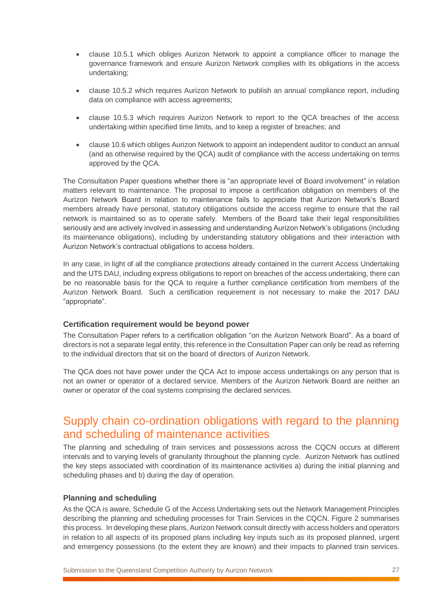- clause 10.5.1 which obliges Aurizon Network to appoint a compliance officer to manage the governance framework and ensure Aurizon Network complies with its obligations in the access undertaking;
- clause 10.5.2 which requires Aurizon Network to publish an annual compliance report, including data on compliance with access agreements;
- clause 10.5.3 which requires Aurizon Network to report to the QCA breaches of the access undertaking within specified time limits, and to keep a register of breaches; and
- clause 10.6 which obliges Aurizon Network to appoint an independent auditor to conduct an annual (and as otherwise required by the QCA) audit of compliance with the access undertaking on terms approved by the QCA.

The Consultation Paper questions whether there is "an appropriate level of Board involvement" in relation matters relevant to maintenance. The proposal to impose a certification obligation on members of the Aurizon Network Board in relation to maintenance fails to appreciate that Aurizon Network's Board members already have personal, statutory obligations outside the access regime to ensure that the rail network is maintained so as to operate safely. Members of the Board take their legal responsibilities seriously and are actively involved in assessing and understanding Aurizon Network's obligations (including its maintenance obligations), including by understanding statutory obligations and their interaction with Aurizon Network's contractual obligations to access holders.

In any case, in light of all the compliance protections already contained in the current Access Undertaking and the UT5 DAU, including express obligations to report on breaches of the access undertaking, there can be no reasonable basis for the QCA to require a further compliance certification from members of the Aurizon Network Board. Such a certification requirement is not necessary to make the 2017 DAU "appropriate".

### **Certification requirement would be beyond power**

The Consultation Paper refers to a certification obligation "on the Aurizon Network Board". As a board of directors is not a separate legal entity, this reference in the Consultation Paper can only be read as referring to the individual directors that sit on the board of directors of Aurizon Network.

The QCA does not have power under the QCA Act to impose access undertakings on any person that is not an owner or operator of a declared service. Members of the Aurizon Network Board are neither an owner or operator of the coal systems comprising the declared services.

### <span id="page-26-0"></span>Supply chain co-ordination obligations with regard to the planning and scheduling of maintenance activities

The planning and scheduling of train services and possessions across the CQCN occurs at different intervals and to varying levels of granularity throughout the planning cycle. Aurizon Network has outlined the key steps associated with coordination of its maintenance activities a) during the initial planning and scheduling phases and b) during the day of operation.

### **Planning and scheduling**

As the QCA is aware, Schedule G of the Access Undertaking sets out the Network Management Principles describing the planning and scheduling processes for Train Services in the CQCN. [Figure 2](#page-27-0) summarises this process. In developing these plans, Aurizon Network consult directly with access holders and operators in relation to all aspects of its proposed plans including key inputs such as its proposed planned, urgent and emergency possessions (to the extent they are known) and their impacts to planned train services.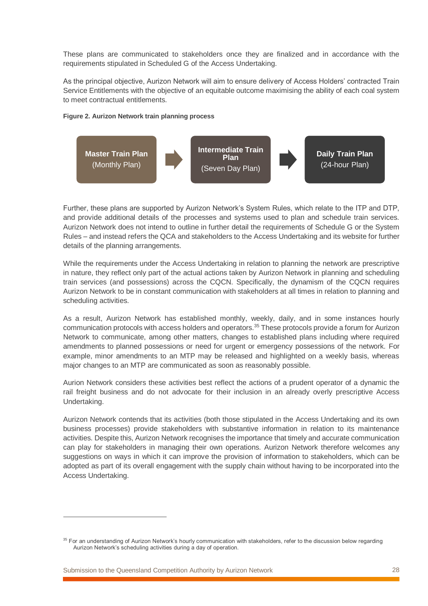These plans are communicated to stakeholders once they are finalized and in accordance with the requirements stipulated in Scheduled G of the Access Undertaking.

As the principal objective, Aurizon Network will aim to ensure delivery of Access Holders' contracted Train Service Entitlements with the objective of an equitable outcome maximising the ability of each coal system to meet contractual entitlements.

#### <span id="page-27-0"></span>**Figure 2. Aurizon Network train planning process**



Further, these plans are supported by Aurizon Network's System Rules, which relate to the ITP and DTP, and provide additional details of the processes and systems used to plan and schedule train services. Aurizon Network does not intend to outline in further detail the requirements of Schedule G or the System Rules – and instead refers the QCA and stakeholders to the Access Undertaking and its website for further details of the planning arrangements.

While the requirements under the Access Undertaking in relation to planning the network are prescriptive in nature, they reflect only part of the actual actions taken by Aurizon Network in planning and scheduling train services (and possessions) across the CQCN. Specifically, the dynamism of the CQCN requires Aurizon Network to be in constant communication with stakeholders at all times in relation to planning and scheduling activities.

As a result, Aurizon Network has established monthly, weekly, daily, and in some instances hourly communication protocols with access holders and operators. <sup>35</sup> These protocols provide a forum for Aurizon Network to communicate, among other matters, changes to established plans including where required amendments to planned possessions or need for urgent or emergency possessions of the network. For example, minor amendments to an MTP may be released and highlighted on a weekly basis, whereas major changes to an MTP are communicated as soon as reasonably possible.

Aurion Network considers these activities best reflect the actions of a prudent operator of a dynamic the rail freight business and do not advocate for their inclusion in an already overly prescriptive Access Undertaking.

Aurizon Network contends that its activities (both those stipulated in the Access Undertaking and its own business processes) provide stakeholders with substantive information in relation to its maintenance activities. Despite this, Aurizon Network recognises the importance that timely and accurate communication can play for stakeholders in managing their own operations. Aurizon Network therefore welcomes any suggestions on ways in which it can improve the provision of information to stakeholders, which can be adopted as part of its overall engagement with the supply chain without having to be incorporated into the Access Undertaking.

Submission to the Queensland Competition Authority by Aurizon Network 28

<sup>&</sup>lt;sup>35</sup> For an understanding of Aurizon Network's hourly communication with stakeholders, refer to the discussion below regarding Aurizon Network's scheduling activities during a day of operation.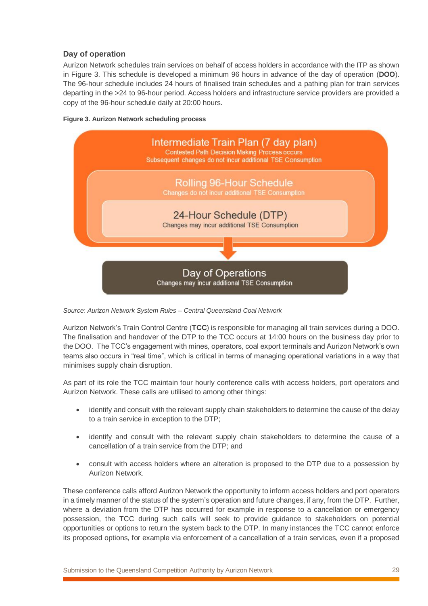### **Day of operation**

Aurizon Network schedules train services on behalf of access holders in accordance with the ITP as shown in [Figure 3.](#page-28-0) This schedule is developed a minimum 96 hours in advance of the day of operation (**DOO**). The 96-hour schedule includes 24 hours of finalised train schedules and a pathing plan for train services departing in the >24 to 96-hour period. Access holders and infrastructure service providers are provided a copy of the 96-hour schedule daily at 20:00 hours.

<span id="page-28-0"></span>



*Source: Aurizon Network System Rules – Central Queensland Coal Network* 

Aurizon Network's Train Control Centre (**TCC**) is responsible for managing all train services during a DOO. The finalisation and handover of the DTP to the TCC occurs at 14:00 hours on the business day prior to the DOO. The TCC's engagement with mines, operators, coal export terminals and Aurizon Network's own teams also occurs in "real time", which is critical in terms of managing operational variations in a way that minimises supply chain disruption.

As part of its role the TCC maintain four hourly conference calls with access holders, port operators and Aurizon Network. These calls are utilised to among other things:

- identify and consult with the relevant supply chain stakeholders to determine the cause of the delay to a train service in exception to the DTP;
- identify and consult with the relevant supply chain stakeholders to determine the cause of a cancellation of a train service from the DTP; and
- consult with access holders where an alteration is proposed to the DTP due to a possession by Aurizon Network.

These conference calls afford Aurizon Network the opportunity to inform access holders and port operators in a timely manner of the status of the system's operation and future changes, if any, from the DTP. Further, where a deviation from the DTP has occurred for example in response to a cancellation or emergency possession, the TCC during such calls will seek to provide guidance to stakeholders on potential opportunities or options to return the system back to the DTP. In many instances the TCC cannot enforce its proposed options, for example via enforcement of a cancellation of a train services, even if a proposed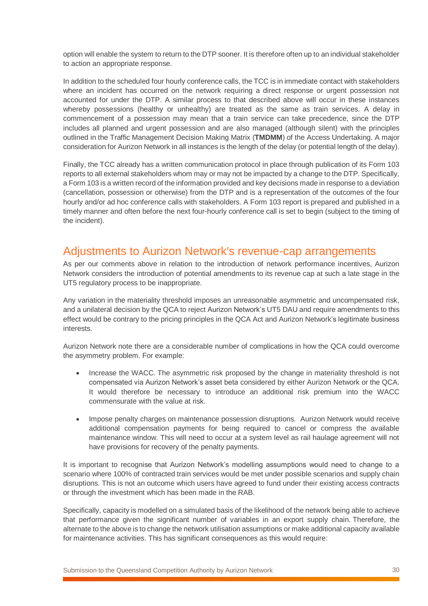option will enable the system to return to the DTP sooner. It is therefore often up to an individual stakeholder to action an appropriate response.

In addition to the scheduled four hourly conference calls, the TCC is in immediate contact with stakeholders where an incident has occurred on the network requiring a direct response or urgent possession not accounted for under the DTP. A similar process to that described above will occur in these instances whereby possessions (healthy or unhealthy) are treated as the same as train services. A delay in commencement of a possession may mean that a train service can take precedence, since the DTP includes all planned and urgent possession and are also managed (although silent) with the principles outlined in the Traffic Management Decision Making Matrix (**TMDMM**) of the Access Undertaking. A major consideration for Aurizon Network in all instances is the length of the delay (or potential length of the delay).

Finally, the TCC already has a written communication protocol in place through publication of its Form 103 reports to all external stakeholders whom may or may not be impacted by a change to the DTP. Specifically, a Form 103 is a written record of the information provided and key decisions made in response to a deviation (cancellation, possession or otherwise) from the DTP and is a representation of the outcomes of the four hourly and/or ad hoc conference calls with stakeholders. A Form 103 report is prepared and published in a timely manner and often before the next four-hourly conference call is set to begin (subject to the timing of the incident).

### <span id="page-29-0"></span>Adjustments to Aurizon Network's revenue-cap arrangements

As per our comments above in relation to the introduction of network performance incentives, Aurizon Network considers the introduction of potential amendments to its revenue cap at such a late stage in the UT5 regulatory process to be inappropriate.

Any variation in the materiality threshold imposes an unreasonable asymmetric and uncompensated risk, and a unilateral decision by the QCA to reject Aurizon Network's UT5 DAU and require amendments to this effect would be contrary to the pricing principles in the QCA Act and Aurizon Network's legitimate business interests.

Aurizon Network note there are a considerable number of complications in how the QCA could overcome the asymmetry problem. For example:

- Increase the WACC. The asymmetric risk proposed by the change in materiality threshold is not compensated via Aurizon Network's asset beta considered by either Aurizon Network or the QCA. It would therefore be necessary to introduce an additional risk premium into the WACC commensurate with the value at risk.
- Impose penalty charges on maintenance possession disruptions. Aurizon Network would receive additional compensation payments for being required to cancel or compress the available maintenance window. This will need to occur at a system level as rail haulage agreement will not have provisions for recovery of the penalty payments.

It is important to recognise that Aurizon Network's modelling assumptions would need to change to a scenario where 100% of contracted train services would be met under possible scenarios and supply chain disruptions. This is not an outcome which users have agreed to fund under their existing access contracts or through the investment which has been made in the RAB.

Specifically, capacity is modelled on a simulated basis of the likelihood of the network being able to achieve that performance given the significant number of variables in an export supply chain. Therefore, the alternate to the above is to change the network utilisation assumptions or make additional capacity available for maintenance activities. This has significant consequences as this would require: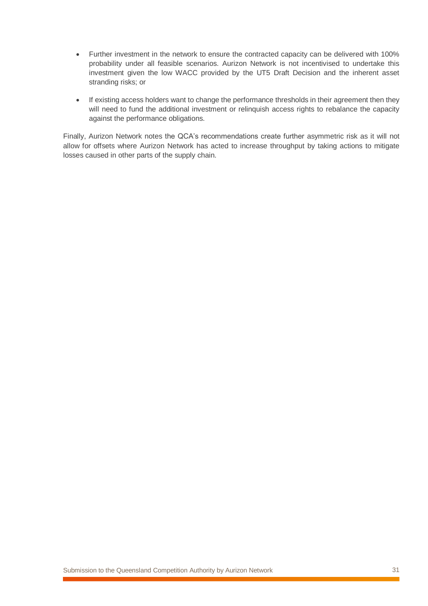- Further investment in the network to ensure the contracted capacity can be delivered with 100% probability under all feasible scenarios. Aurizon Network is not incentivised to undertake this investment given the low WACC provided by the UT5 Draft Decision and the inherent asset stranding risks; or
- If existing access holders want to change the performance thresholds in their agreement then they will need to fund the additional investment or relinquish access rights to rebalance the capacity against the performance obligations.

Finally, Aurizon Network notes the QCA's recommendations create further asymmetric risk as it will not allow for offsets where Aurizon Network has acted to increase throughput by taking actions to mitigate losses caused in other parts of the supply chain.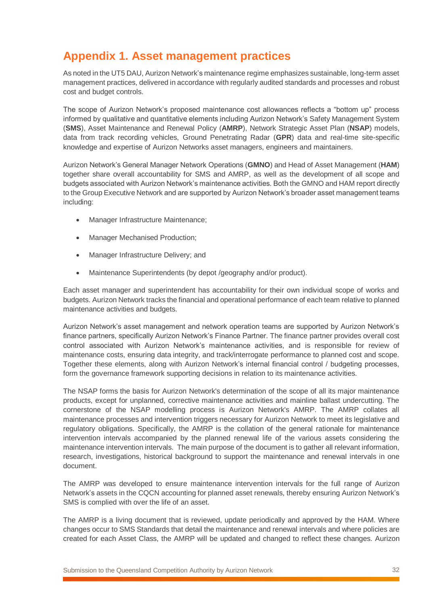# <span id="page-31-0"></span>**Appendix 1. Asset management practices**

As noted in the UT5 DAU, Aurizon Network's maintenance regime emphasizes sustainable, long-term asset management practices, delivered in accordance with regularly audited standards and processes and robust cost and budget controls.

The scope of Aurizon Network's proposed maintenance cost allowances reflects a "bottom up" process informed by qualitative and quantitative elements including Aurizon Network's Safety Management System (**SMS**), Asset Maintenance and Renewal Policy (**AMRP**), Network Strategic Asset Plan (**NSAP**) models, data from track recording vehicles, Ground Penetrating Radar (**GPR**) data and real-time site-specific knowledge and expertise of Aurizon Networks asset managers, engineers and maintainers.

Aurizon Network's General Manager Network Operations (**GMNO**) and Head of Asset Management (**HAM**) together share overall accountability for SMS and AMRP, as well as the development of all scope and budgets associated with Aurizon Network's maintenance activities. Both the GMNO and HAM report directly to the Group Executive Network and are supported by Aurizon Network's broader asset management teams including:

- Manager Infrastructure Maintenance;
- Manager Mechanised Production;
- Manager Infrastructure Delivery; and
- Maintenance Superintendents (by depot /geography and/or product).

Each asset manager and superintendent has accountability for their own individual scope of works and budgets. Aurizon Network tracks the financial and operational performance of each team relative to planned maintenance activities and budgets.

Aurizon Network's asset management and network operation teams are supported by Aurizon Network's finance partners, specifically Aurizon Network's Finance Partner. The finance partner provides overall cost control associated with Aurizon Network's maintenance activities, and is responsible for review of maintenance costs, ensuring data integrity, and track/interrogate performance to planned cost and scope. Together these elements, along with Aurizon Network's internal financial control / budgeting processes, form the governance framework supporting decisions in relation to its maintenance activities.

The NSAP forms the basis for Aurizon Network's determination of the scope of all its major maintenance products, except for unplanned, corrective maintenance activities and mainline ballast undercutting. The cornerstone of the NSAP modelling process is Aurizon Network's AMRP. The AMRP collates all maintenance processes and intervention triggers necessary for Aurizon Network to meet its legislative and regulatory obligations. Specifically, the AMRP is the collation of the general rationale for maintenance intervention intervals accompanied by the planned renewal life of the various assets considering the maintenance intervention intervals. The main purpose of the document is to gather all relevant information, research, investigations, historical background to support the maintenance and renewal intervals in one document.

The AMRP was developed to ensure maintenance intervention intervals for the full range of Aurizon Network's assets in the CQCN accounting for planned asset renewals, thereby ensuring Aurizon Network's SMS is complied with over the life of an asset.

The AMRP is a living document that is reviewed, update periodically and approved by the HAM. Where changes occur to SMS Standards that detail the maintenance and renewal intervals and where policies are created for each Asset Class, the AMRP will be updated and changed to reflect these changes. Aurizon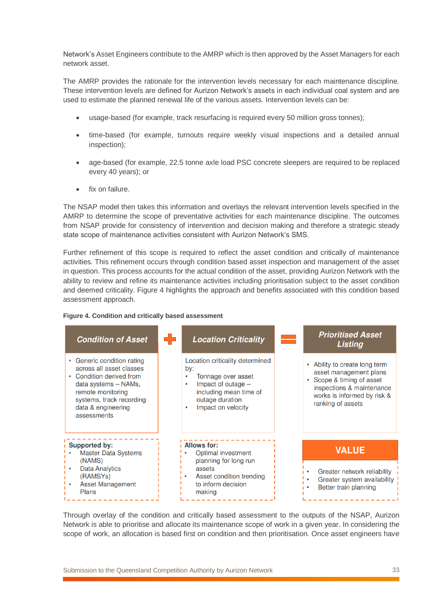Network's Asset Engineers contribute to the AMRP which is then approved by the Asset Managers for each network asset.

The AMRP provides the rationale for the intervention levels necessary for each maintenance discipline. These intervention levels are defined for Aurizon Network's assets in each individual coal system and are used to estimate the planned renewal life of the various assets. Intervention levels can be:

- usage-based (for example, track resurfacing is required every 50 million gross tonnes);
- time-based (for example, turnouts require weekly visual inspections and a detailed annual inspection);
- age-based (for example, 22.5 tonne axle load PSC concrete sleepers are required to be replaced every 40 years); or
- fix on failure.

The NSAP model then takes this information and overlays the relevant intervention levels specified in the AMRP to determine the scope of preventative activities for each maintenance discipline. The outcomes from NSAP provide for consistency of intervention and decision making and therefore a strategic steady state scope of maintenance activities consistent with Aurizon Network's SMS.

Further refinement of this scope is required to reflect the asset condition and critically of maintenance activities. This refinement occurs through condition based asset inspection and management of the asset in question. This process accounts for the actual condition of the asset, providing Aurizon Network with the ability to review and refine its maintenance activities including prioritisation subject to the asset condition and deemed criticality. [Figure 4](#page-32-0) highlights the approach and benefits associated with this condition based assessment approach.

#### <span id="page-32-0"></span>**Figure 4. Condition and critically based assessment**



Through overlay of the condition and critically based assessment to the outputs of the NSAP, Aurizon Network is able to prioritise and allocate its maintenance scope of work in a given year. In considering the scope of work, an allocation is based first on condition and then prioritisation. Once asset engineers have